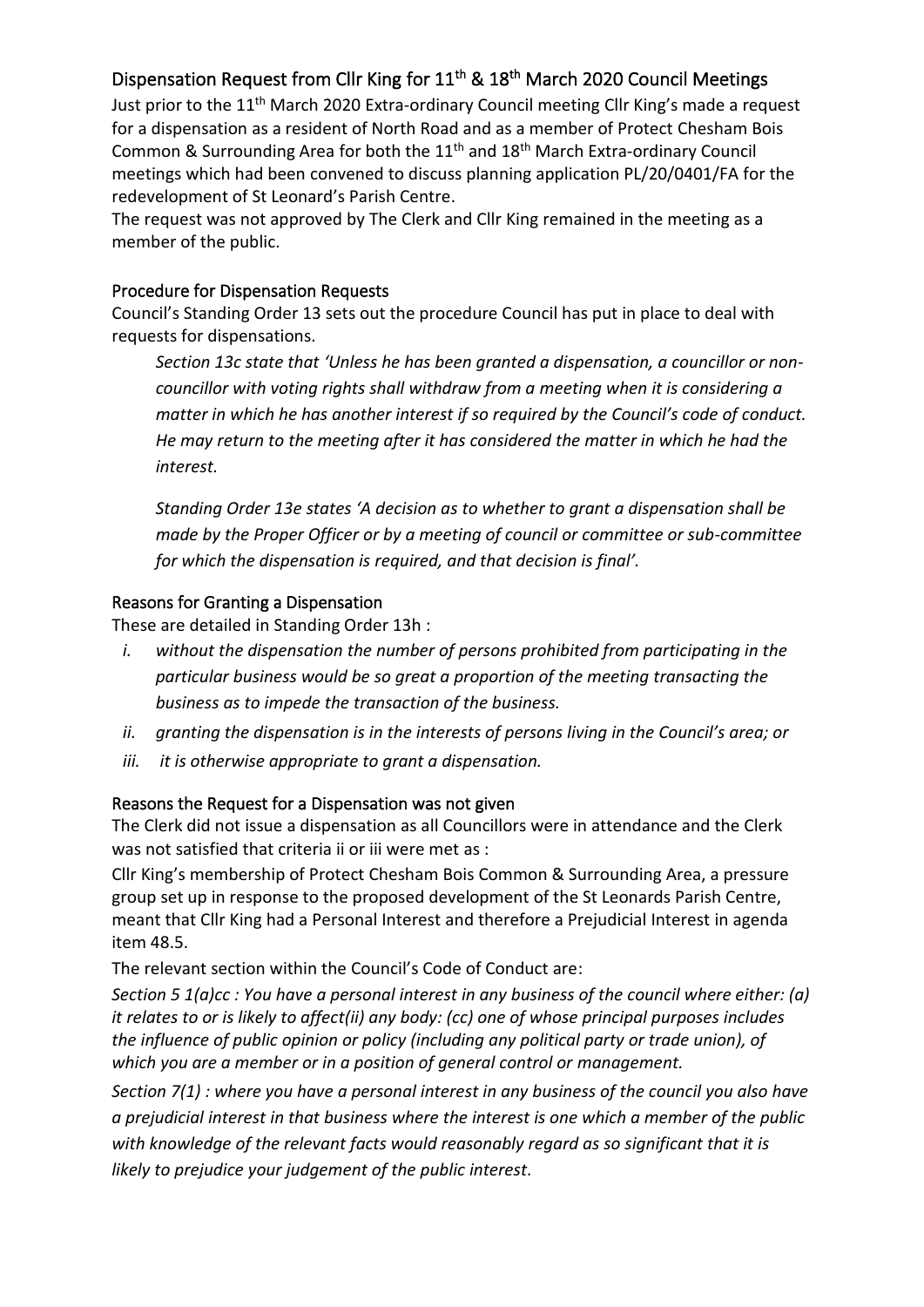## Dispensation Request from Cllr King for  $11^{th}$  &  $18^{th}$  March 2020 Council Meetings

Just prior to the 11<sup>th</sup> March 2020 Extra-ordinary Council meeting Cllr King's made a request for a dispensation as a resident of North Road and as a member of Protect Chesham Bois Common & Surrounding Area for both the  $11<sup>th</sup>$  and  $18<sup>th</sup>$  March Extra-ordinary Council meetings which had been convened to discuss planning application PL/20/0401/FA for the redevelopment of St Leonard's Parish Centre.

The request was not approved by The Clerk and Cllr King remained in the meeting as a member of the public.

## Procedure for Dispensation Requests

Council's Standing Order 13 sets out the procedure Council has put in place to deal with requests for dispensations.

*Section 13c state that 'Unless he has been granted a dispensation, a councillor or noncouncillor with voting rights shall withdraw from a meeting when it is considering a matter in which he has another interest if so required by the Council's code of conduct. He may return to the meeting after it has considered the matter in which he had the interest.*

*Standing Order 13e states 'A decision as to whether to grant a dispensation shall be made by the Proper Officer or by a meeting of council or committee or sub-committee for which the dispensation is required, and that decision is final'.*

## Reasons for Granting a Dispensation

These are detailed in Standing Order 13h :

- *i. without the dispensation the number of persons prohibited from participating in the particular business would be so great a proportion of the meeting transacting the business as to impede the transaction of the business.*
- *ii. granting the dispensation is in the interests of persons living in the Council's area; or*
- *iii. it is otherwise appropriate to grant a dispensation.*

### Reasons the Request for a Dispensation was not given

The Clerk did not issue a dispensation as all Councillors were in attendance and the Clerk was not satisfied that criteria ii or iii were met as :

Cllr King's membership of Protect Chesham Bois Common & Surrounding Area, a pressure group set up in response to the proposed development of the St Leonards Parish Centre, meant that Cllr King had a Personal Interest and therefore a Prejudicial Interest in agenda item 48.5.

The relevant section within the Council's Code of Conduct are:

*Section 5 1(a)cc : You have a personal interest in any business of the council where either: (a) it relates to or is likely to affect(ii) any body: (cc) one of whose principal purposes includes the influence of public opinion or policy (including any political party or trade union), of which you are a member or in a position of general control or management.*

*Section 7(1) : where you have a personal interest in any business of the council you also have a prejudicial interest in that business where the interest is one which a member of the public with knowledge of the relevant facts would reasonably regard as so significant that it is likely to prejudice your judgement of the public interest.*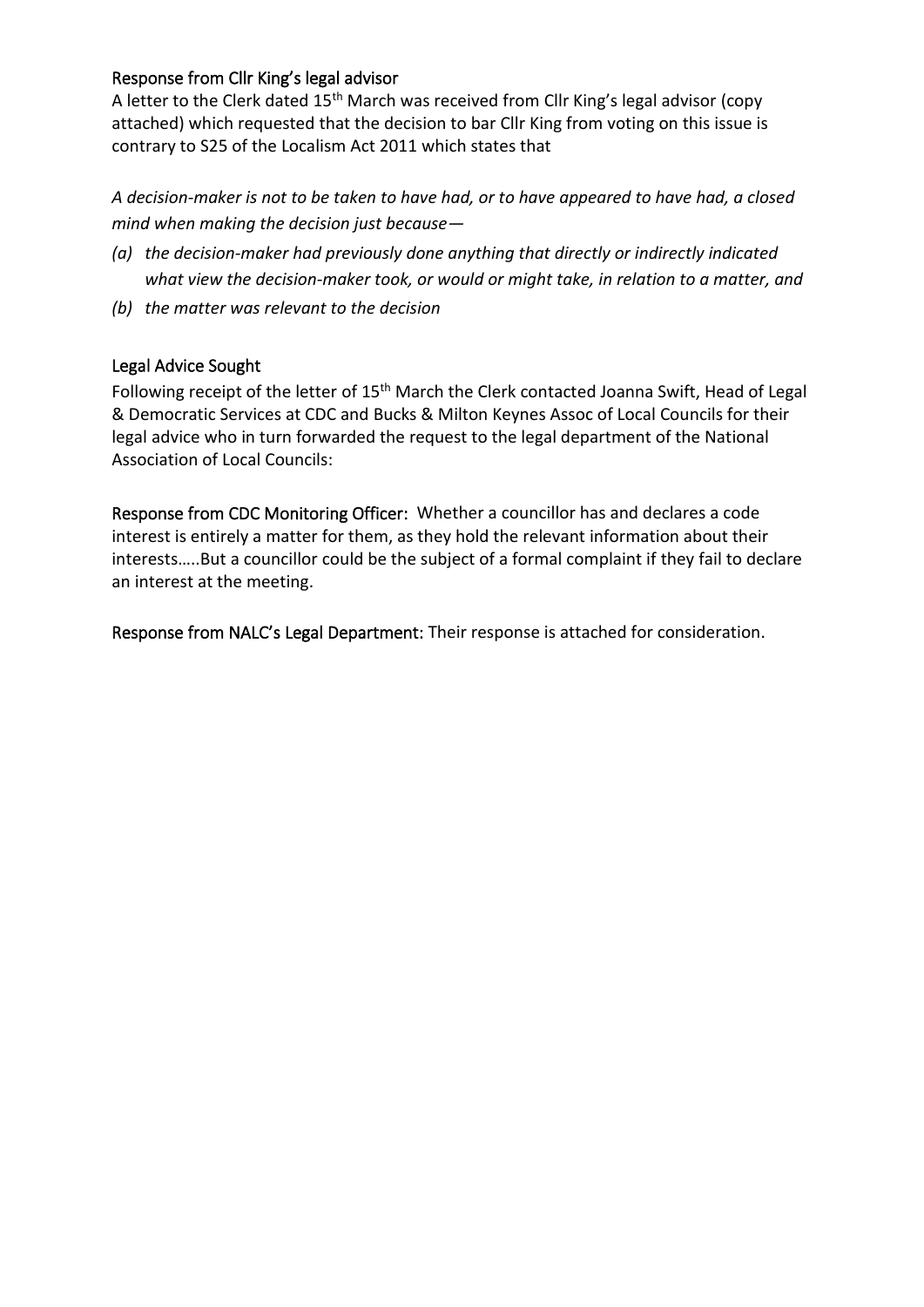## Response from Cllr King's legal advisor

A letter to the Clerk dated 15<sup>th</sup> March was received from Cllr King's legal advisor (copy attached) which requested that the decision to bar Cllr King from voting on this issue is contrary to S25 of the Localism Act 2011 which states that

*A decision-maker is not to be taken to have had, or to have appeared to have had, a closed mind when making the decision just because—*

- *(a) the decision-maker had previously done anything that directly or indirectly indicated what view the decision-maker took, or would or might take, in relation to a matter, and*
- *(b) the matter was relevant to the decision*

## Legal Advice Sought

Following receipt of the letter of 15<sup>th</sup> March the Clerk contacted Joanna Swift, Head of Legal & Democratic Services at CDC and Bucks & Milton Keynes Assoc of Local Councils for their legal advice who in turn forwarded the request to the legal department of the National Association of Local Councils:

Response from CDC Monitoring Officer:Whether a councillor has and declares a code interest is entirely a matter for them, as they hold the relevant information about their interests…..But a councillor could be the subject of a formal complaint if they fail to declare an interest at the meeting.

Response from NALC's Legal Department: Their response is attached for consideration.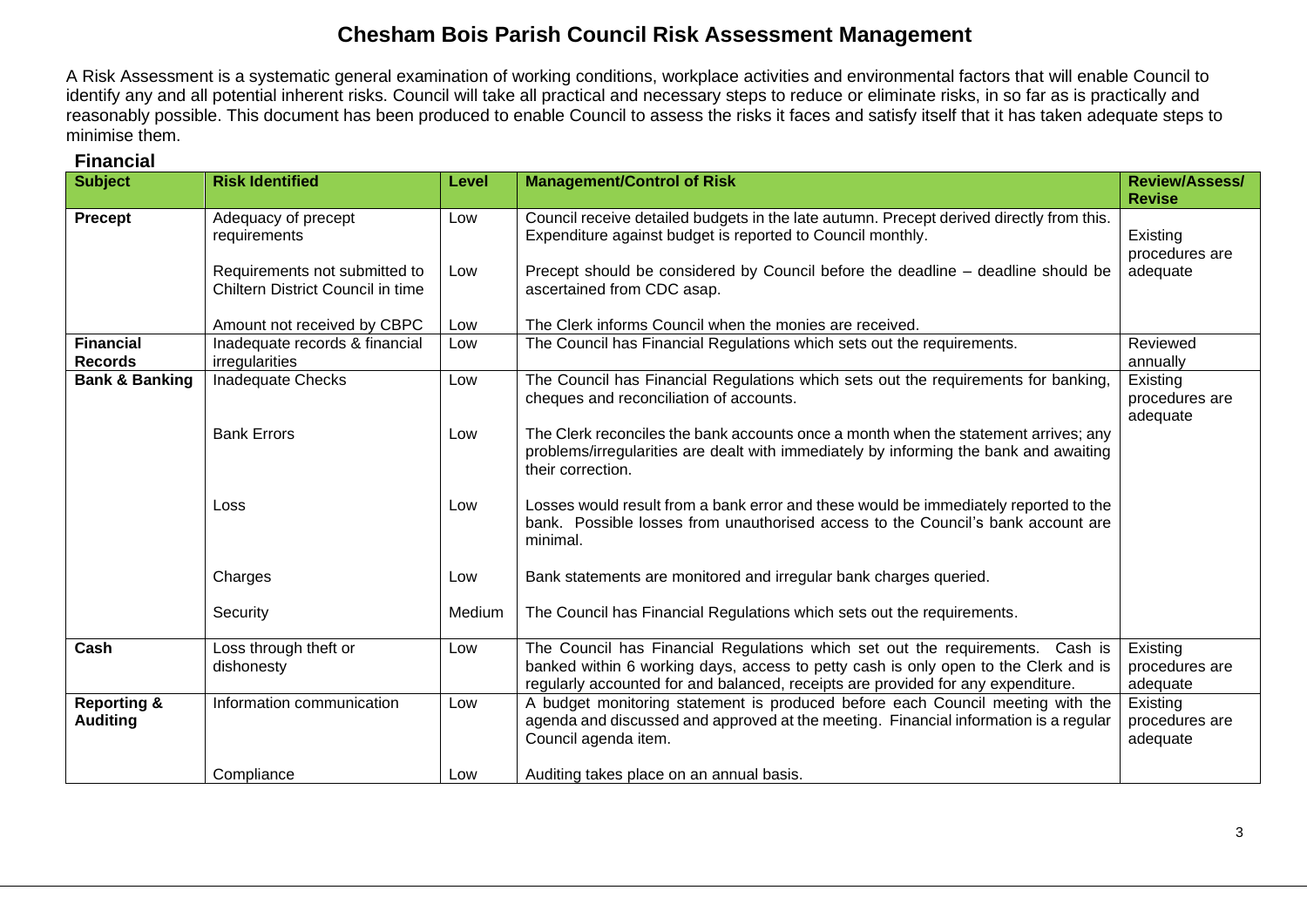## **Chesham Bois Parish Council Risk Assessment Management**

A Risk Assessment is a systematic general examination of working conditions, workplace activities and environmental factors that will enable Council to identify any and all potential inherent risks. Council will take all practical and necessary steps to reduce or eliminate risks, in so far as is practically and reasonably possible. This document has been produced to enable Council to assess the risks it faces and satisfy itself that it has taken adequate steps to minimise them.

| <b>Subject</b>                            | <b>Risk Identified</b>                                             | Level  | <b>Management/Control of Risk</b>                                                                                                                                                                                                                        | <b>Review/Assess/</b><br><b>Revise</b> |
|-------------------------------------------|--------------------------------------------------------------------|--------|----------------------------------------------------------------------------------------------------------------------------------------------------------------------------------------------------------------------------------------------------------|----------------------------------------|
| Precept                                   | Adequacy of precept<br>requirements                                | Low    | Council receive detailed budgets in the late autumn. Precept derived directly from this.<br>Expenditure against budget is reported to Council monthly.                                                                                                   | Existing<br>procedures are             |
|                                           | Requirements not submitted to<br>Chiltern District Council in time | Low    | Precept should be considered by Council before the deadline - deadline should be<br>ascertained from CDC asap.                                                                                                                                           | adequate                               |
|                                           | Amount not received by CBPC                                        | Low    | The Clerk informs Council when the monies are received.                                                                                                                                                                                                  |                                        |
| <b>Financial</b><br><b>Records</b>        | Inadequate records & financial<br>irregularities                   | Low    | The Council has Financial Regulations which sets out the requirements.                                                                                                                                                                                   | Reviewed<br>annually                   |
| <b>Bank &amp; Banking</b>                 | <b>Inadequate Checks</b>                                           | Low    | The Council has Financial Regulations which sets out the requirements for banking,<br>cheques and reconciliation of accounts.                                                                                                                            | Existing<br>procedures are<br>adequate |
|                                           | <b>Bank Errors</b>                                                 | Low    | The Clerk reconciles the bank accounts once a month when the statement arrives; any<br>problems/irregularities are dealt with immediately by informing the bank and awaiting<br>their correction.                                                        |                                        |
|                                           | Loss                                                               | Low    | Losses would result from a bank error and these would be immediately reported to the<br>bank. Possible losses from unauthorised access to the Council's bank account are<br>minimal.                                                                     |                                        |
|                                           | Charges                                                            | Low    | Bank statements are monitored and irregular bank charges queried.                                                                                                                                                                                        |                                        |
|                                           | Security                                                           | Medium | The Council has Financial Regulations which sets out the requirements.                                                                                                                                                                                   |                                        |
| Cash                                      | Loss through theft or<br>dishonesty                                | Low    | The Council has Financial Regulations which set out the requirements. Cash is<br>banked within 6 working days, access to petty cash is only open to the Clerk and is<br>regularly accounted for and balanced, receipts are provided for any expenditure. | Existing<br>procedures are<br>adequate |
| <b>Reporting &amp;</b><br><b>Auditing</b> | Information communication                                          | Low    | A budget monitoring statement is produced before each Council meeting with the<br>agenda and discussed and approved at the meeting. Financial information is a regular<br>Council agenda item.                                                           | Existing<br>procedures are<br>adequate |
|                                           | Compliance                                                         | Low    | Auditing takes place on an annual basis.                                                                                                                                                                                                                 |                                        |

## **Financial**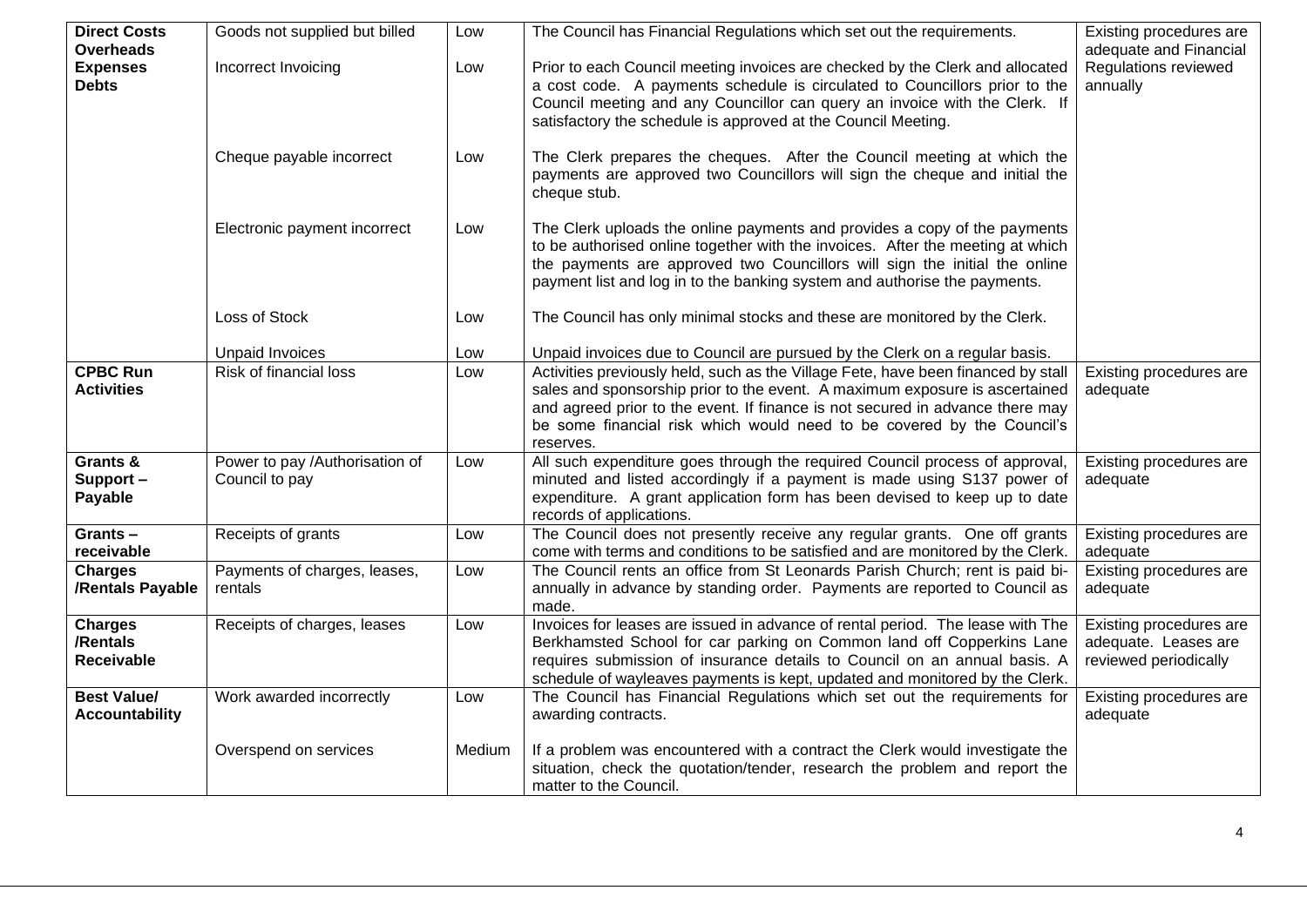| <b>Direct Costs</b><br><b>Overheads</b>         | Goods not supplied but billed                    | Low    | The Council has Financial Regulations which set out the requirements.                                                                                                                                                                                                                                                                    | Existing procedures are<br>adequate and Financial                        |
|-------------------------------------------------|--------------------------------------------------|--------|------------------------------------------------------------------------------------------------------------------------------------------------------------------------------------------------------------------------------------------------------------------------------------------------------------------------------------------|--------------------------------------------------------------------------|
| <b>Expenses</b><br><b>Debts</b>                 | Incorrect Invoicing                              | Low    | Prior to each Council meeting invoices are checked by the Clerk and allocated<br>a cost code. A payments schedule is circulated to Councillors prior to the<br>Council meeting and any Councillor can query an invoice with the Clerk. If<br>satisfactory the schedule is approved at the Council Meeting.                               | Regulations reviewed<br>annually                                         |
|                                                 | Cheque payable incorrect                         | Low    | The Clerk prepares the cheques. After the Council meeting at which the<br>payments are approved two Councillors will sign the cheque and initial the<br>cheque stub.                                                                                                                                                                     |                                                                          |
|                                                 | Electronic payment incorrect                     | Low    | The Clerk uploads the online payments and provides a copy of the payments<br>to be authorised online together with the invoices. After the meeting at which<br>the payments are approved two Councillors will sign the initial the online<br>payment list and log in to the banking system and authorise the payments.                   |                                                                          |
|                                                 | Loss of Stock                                    | Low    | The Council has only minimal stocks and these are monitored by the Clerk.                                                                                                                                                                                                                                                                |                                                                          |
|                                                 | <b>Unpaid Invoices</b>                           | Low    | Unpaid invoices due to Council are pursued by the Clerk on a regular basis.                                                                                                                                                                                                                                                              |                                                                          |
| <b>CPBC Run</b><br><b>Activities</b>            | <b>Risk of financial loss</b>                    | Low    | Activities previously held, such as the Village Fete, have been financed by stall<br>sales and sponsorship prior to the event. A maximum exposure is ascertained<br>and agreed prior to the event. If finance is not secured in advance there may<br>be some financial risk which would need to be covered by the Council's<br>reserves. | Existing procedures are<br>adequate                                      |
| Grants &<br>Support-<br>Payable                 | Power to pay /Authorisation of<br>Council to pay | Low    | All such expenditure goes through the required Council process of approval,<br>minuted and listed accordingly if a payment is made using S137 power of<br>expenditure. A grant application form has been devised to keep up to date<br>records of applications.                                                                          | Existing procedures are<br>adequate                                      |
| Grants-<br>receivable                           | Receipts of grants                               | Low    | The Council does not presently receive any regular grants. One off grants<br>come with terms and conditions to be satisfied and are monitored by the Clerk.                                                                                                                                                                              | Existing procedures are<br>adequate                                      |
| <b>Charges</b><br>/Rentals Payable              | Payments of charges, leases,<br>rentals          | Low    | The Council rents an office from St Leonards Parish Church; rent is paid bi-<br>annually in advance by standing order. Payments are reported to Council as<br>made.                                                                                                                                                                      | Existing procedures are<br>adequate                                      |
| <b>Charges</b><br>/Rentals<br><b>Receivable</b> | Receipts of charges, leases                      | Low    | Invoices for leases are issued in advance of rental period. The lease with The<br>Berkhamsted School for car parking on Common land off Copperkins Lane<br>requires submission of insurance details to Council on an annual basis. A<br>schedule of wayleaves payments is kept, updated and monitored by the Clerk.                      | Existing procedures are<br>adequate. Leases are<br>reviewed periodically |
| <b>Best Value/</b><br><b>Accountability</b>     | Work awarded incorrectly                         | Low    | The Council has Financial Regulations which set out the requirements for<br>awarding contracts.                                                                                                                                                                                                                                          | Existing procedures are<br>adequate                                      |
|                                                 | Overspend on services                            | Medium | If a problem was encountered with a contract the Clerk would investigate the<br>situation, check the quotation/tender, research the problem and report the<br>matter to the Council.                                                                                                                                                     |                                                                          |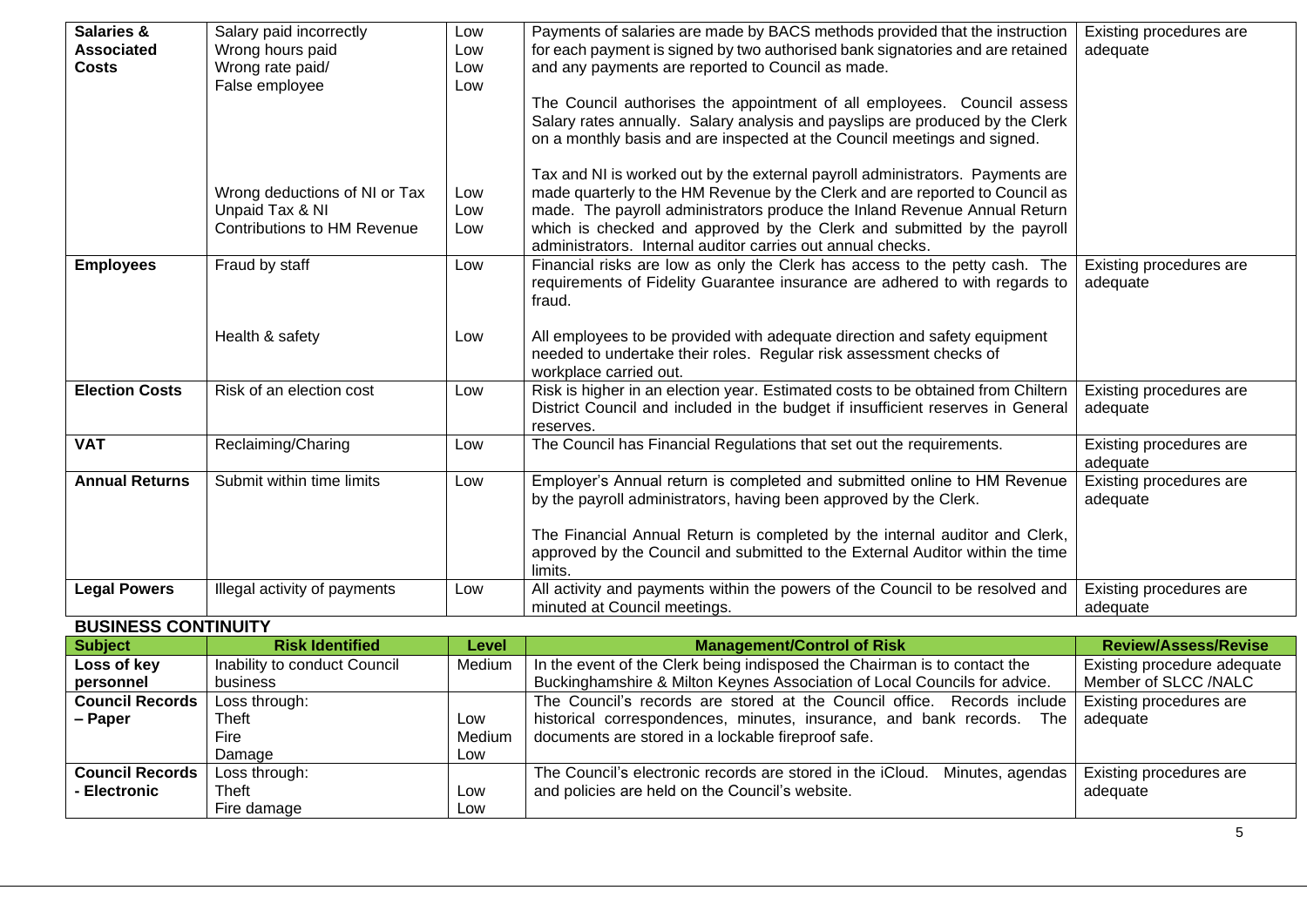| Salaries &<br><b>Associated</b><br><b>Costs</b> | Salary paid incorrectly<br>Wrong hours paid<br>Wrong rate paid/<br>False employee      | Low<br>Low<br>Low<br>Low | Payments of salaries are made by BACS methods provided that the instruction<br>for each payment is signed by two authorised bank signatories and are retained<br>and any payments are reported to Council as made.<br>The Council authorises the appointment of all employees. Council assess<br>Salary rates annually. Salary analysis and payslips are produced by the Clerk<br>on a monthly basis and are inspected at the Council meetings and signed. | Existing procedures are<br>adequate                 |
|-------------------------------------------------|----------------------------------------------------------------------------------------|--------------------------|------------------------------------------------------------------------------------------------------------------------------------------------------------------------------------------------------------------------------------------------------------------------------------------------------------------------------------------------------------------------------------------------------------------------------------------------------------|-----------------------------------------------------|
|                                                 | Wrong deductions of NI or Tax<br>Unpaid Tax & NI<br><b>Contributions to HM Revenue</b> | Low<br>Low<br>Low        | Tax and NI is worked out by the external payroll administrators. Payments are<br>made quarterly to the HM Revenue by the Clerk and are reported to Council as<br>made. The payroll administrators produce the Inland Revenue Annual Return<br>which is checked and approved by the Clerk and submitted by the payroll<br>administrators. Internal auditor carries out annual checks.                                                                       |                                                     |
| <b>Employees</b>                                | Fraud by staff                                                                         | Low                      | Financial risks are low as only the Clerk has access to the petty cash. The<br>requirements of Fidelity Guarantee insurance are adhered to with regards to<br>fraud.                                                                                                                                                                                                                                                                                       | Existing procedures are<br>adequate                 |
|                                                 | Health & safety                                                                        | Low                      | All employees to be provided with adequate direction and safety equipment<br>needed to undertake their roles. Regular risk assessment checks of<br>workplace carried out.                                                                                                                                                                                                                                                                                  |                                                     |
| <b>Election Costs</b>                           | Risk of an election cost                                                               | Low                      | Risk is higher in an election year. Estimated costs to be obtained from Chiltern<br>District Council and included in the budget if insufficient reserves in General<br>reserves.                                                                                                                                                                                                                                                                           | Existing procedures are<br>adequate                 |
| <b>VAT</b>                                      | Reclaiming/Charing                                                                     | Low                      | The Council has Financial Regulations that set out the requirements.                                                                                                                                                                                                                                                                                                                                                                                       | Existing procedures are<br>adequate                 |
| <b>Annual Returns</b>                           | Submit within time limits                                                              | Low                      | Employer's Annual return is completed and submitted online to HM Revenue<br>by the payroll administrators, having been approved by the Clerk.<br>The Financial Annual Return is completed by the internal auditor and Clerk,<br>approved by the Council and submitted to the External Auditor within the time<br>limits.                                                                                                                                   | Existing procedures are<br>adequate                 |
| <b>Legal Powers</b>                             | Illegal activity of payments                                                           | Low                      | All activity and payments within the powers of the Council to be resolved and<br>minuted at Council meetings.                                                                                                                                                                                                                                                                                                                                              | Existing procedures are<br>adequate                 |
| <b>BUSINESS CONTINUITY</b>                      |                                                                                        |                          |                                                                                                                                                                                                                                                                                                                                                                                                                                                            |                                                     |
| <b>Subject</b>                                  | <b>Risk Identified</b>                                                                 | Level                    | <b>Management/Control of Risk</b>                                                                                                                                                                                                                                                                                                                                                                                                                          | <b>Review/Assess/Revise</b>                         |
| Loss of key<br>personnel                        | Inability to conduct Council<br>business                                               | Medium                   | In the event of the Clerk being indisposed the Chairman is to contact the<br>Buckinghamshire & Milton Keynes Association of Local Councils for advice.                                                                                                                                                                                                                                                                                                     | Existing procedure adequate<br>Member of SLCC /NALC |
| <b>Council Records</b><br>- Paper               | Loss through:<br>Theft                                                                 | Low                      | The Council's records are stored at the Council office. Records include<br>historical correspondences, minutes, insurance, and bank records.<br>The                                                                                                                                                                                                                                                                                                        | Existing procedures are<br>adequate                 |

| Paper                  | Theft         | ∟0W        | The<br>historical correspondences, minutes, insurance, and bank records.       | l adeguate              |
|------------------------|---------------|------------|--------------------------------------------------------------------------------|-------------------------|
|                        | Fire          | Medium     | documents are stored in a lockable fireproof safe.                             |                         |
|                        | Damage        | LOW        |                                                                                |                         |
| <b>Council Records</b> | Loss through: |            | The Council's electronic records are stored in the iCloud.<br>Minutes, agendas | Existing procedures are |
| <b>Electronic</b>      | Theft         | LOW        | and policies are held on the Council's website.                                | adequate                |
|                        | Fire damage   | <b>LOW</b> |                                                                                |                         |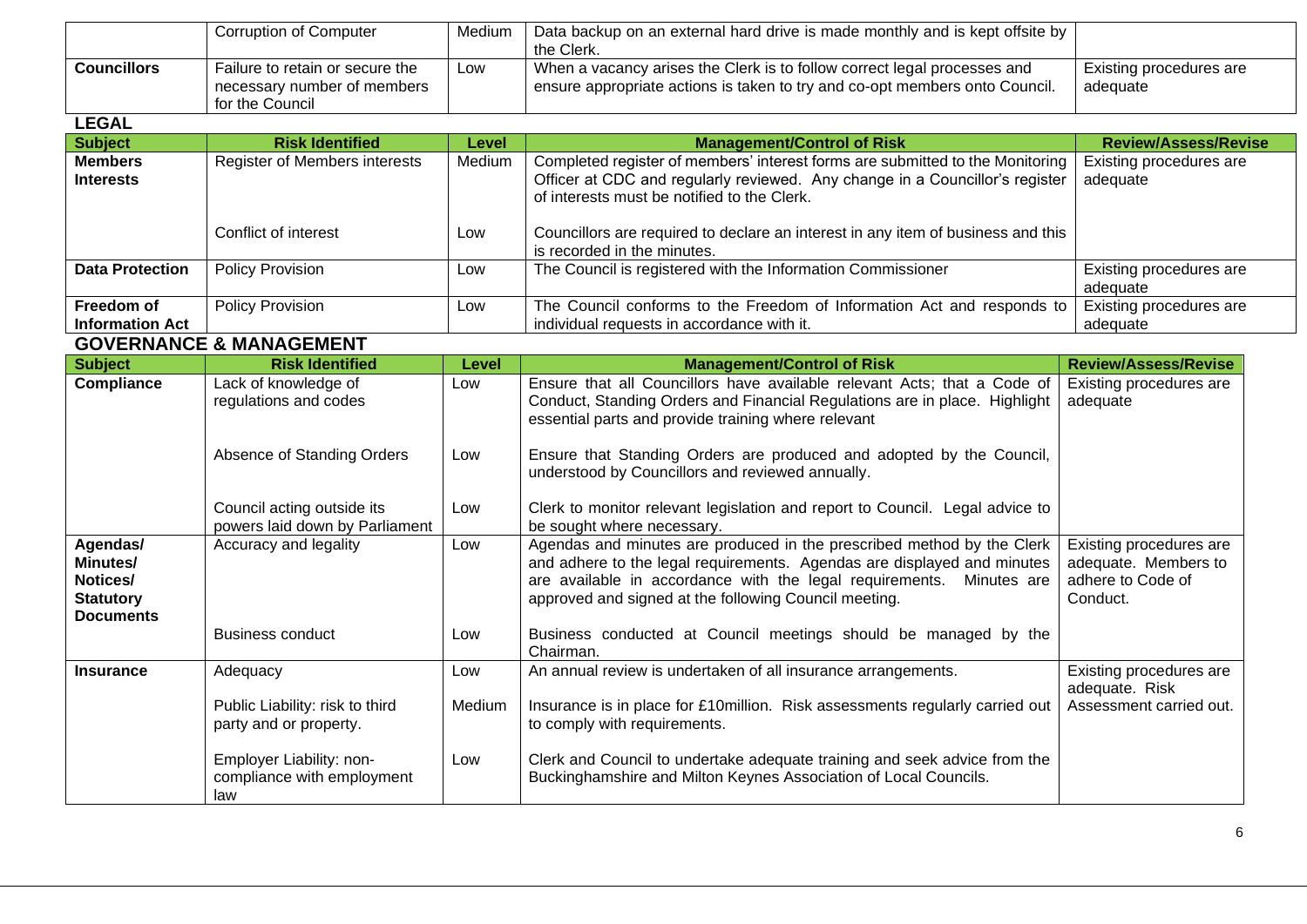|                    | Corruption of Computer                                                            | Medium | Data backup on an external hard drive is made monthly and is kept offsite by<br>the Clerk.                                                                |                                     |
|--------------------|-----------------------------------------------------------------------------------|--------|-----------------------------------------------------------------------------------------------------------------------------------------------------------|-------------------------------------|
| <b>Councillors</b> | Failure to retain or secure the<br>necessary number of members<br>for the Council | Low    | When a vacancy arises the Clerk is to follow correct legal processes and<br>I ensure appropriate actions is taken to try and co-opt members onto Council. | Existing procedures are<br>adequate |

## **LEGAL**

| -----                                |                                      |              |                                                                                                                                                                                                              |                                     |
|--------------------------------------|--------------------------------------|--------------|--------------------------------------------------------------------------------------------------------------------------------------------------------------------------------------------------------------|-------------------------------------|
| <b>Subject</b>                       | <b>Risk Identified</b>               | <b>Level</b> | <b>Management/Control of Risk</b>                                                                                                                                                                            | <b>Review/Assess/Revise</b>         |
| <b>Members</b><br><b>Interests</b>   | <b>Register of Members interests</b> | Medium       | Completed register of members' interest forms are submitted to the Monitoring<br>Officer at CDC and regularly reviewed. Any change in a Councillor's register<br>of interests must be notified to the Clerk. | Existing procedures are<br>adequate |
|                                      | Conflict of interest                 | Low          | Councillors are required to declare an interest in any item of business and this<br>is recorded in the minutes.                                                                                              |                                     |
| <b>Data Protection</b>               | <b>Policy Provision</b>              | Low          | The Council is registered with the Information Commissioner                                                                                                                                                  | Existing procedures are<br>adeguate |
| Freedom of<br><b>Information Act</b> | <b>Policy Provision</b>              | Low          | The Council conforms to the Freedom of Information Act and responds to<br>individual requests in accordance with it.                                                                                         | Existing procedures are<br>adeguate |

### **GOVERNANCE & MANAGEMENT**

| <b>Subject</b>                                                                  | <b>Risk Identified</b>                                        | Level  | <b>Management/Control of Risk</b>                                                                                                                                                                                                                                                  | <b>Review/Assess/Revise</b>                                                      |
|---------------------------------------------------------------------------------|---------------------------------------------------------------|--------|------------------------------------------------------------------------------------------------------------------------------------------------------------------------------------------------------------------------------------------------------------------------------------|----------------------------------------------------------------------------------|
| <b>Compliance</b>                                                               | Lack of knowledge of<br>regulations and codes                 | Low    | Ensure that all Councillors have available relevant Acts; that a Code of<br>Conduct, Standing Orders and Financial Regulations are in place. Highlight<br>essential parts and provide training where relevant                                                                      | Existing procedures are<br>adequate                                              |
|                                                                                 | Absence of Standing Orders                                    | Low    | Ensure that Standing Orders are produced and adopted by the Council,<br>understood by Councillors and reviewed annually.                                                                                                                                                           |                                                                                  |
|                                                                                 | Council acting outside its<br>powers laid down by Parliament  | Low    | Clerk to monitor relevant legislation and report to Council. Legal advice to<br>be sought where necessary.                                                                                                                                                                         |                                                                                  |
| Agendas/<br><b>Minutes/</b><br>Notices/<br><b>Statutory</b><br><b>Documents</b> | Accuracy and legality                                         | Low    | Agendas and minutes are produced in the prescribed method by the Clerk<br>and adhere to the legal requirements. Agendas are displayed and minutes<br>are available in accordance with the legal requirements. Minutes are<br>approved and signed at the following Council meeting. | Existing procedures are<br>adequate. Members to<br>adhere to Code of<br>Conduct. |
|                                                                                 | <b>Business conduct</b>                                       | Low    | Business conducted at Council meetings should be managed by the<br>Chairman.                                                                                                                                                                                                       |                                                                                  |
| <b>Insurance</b>                                                                | Adequacy                                                      | Low    | An annual review is undertaken of all insurance arrangements.                                                                                                                                                                                                                      | Existing procedures are<br>adequate. Risk                                        |
|                                                                                 | Public Liability: risk to third<br>party and or property.     | Medium | Insurance is in place for £10 million. Risk assessments regularly carried out<br>to comply with requirements.                                                                                                                                                                      | Assessment carried out.                                                          |
|                                                                                 | Employer Liability: non-<br>compliance with employment<br>law | Low    | Clerk and Council to undertake adequate training and seek advice from the<br>Buckinghamshire and Milton Keynes Association of Local Councils.                                                                                                                                      |                                                                                  |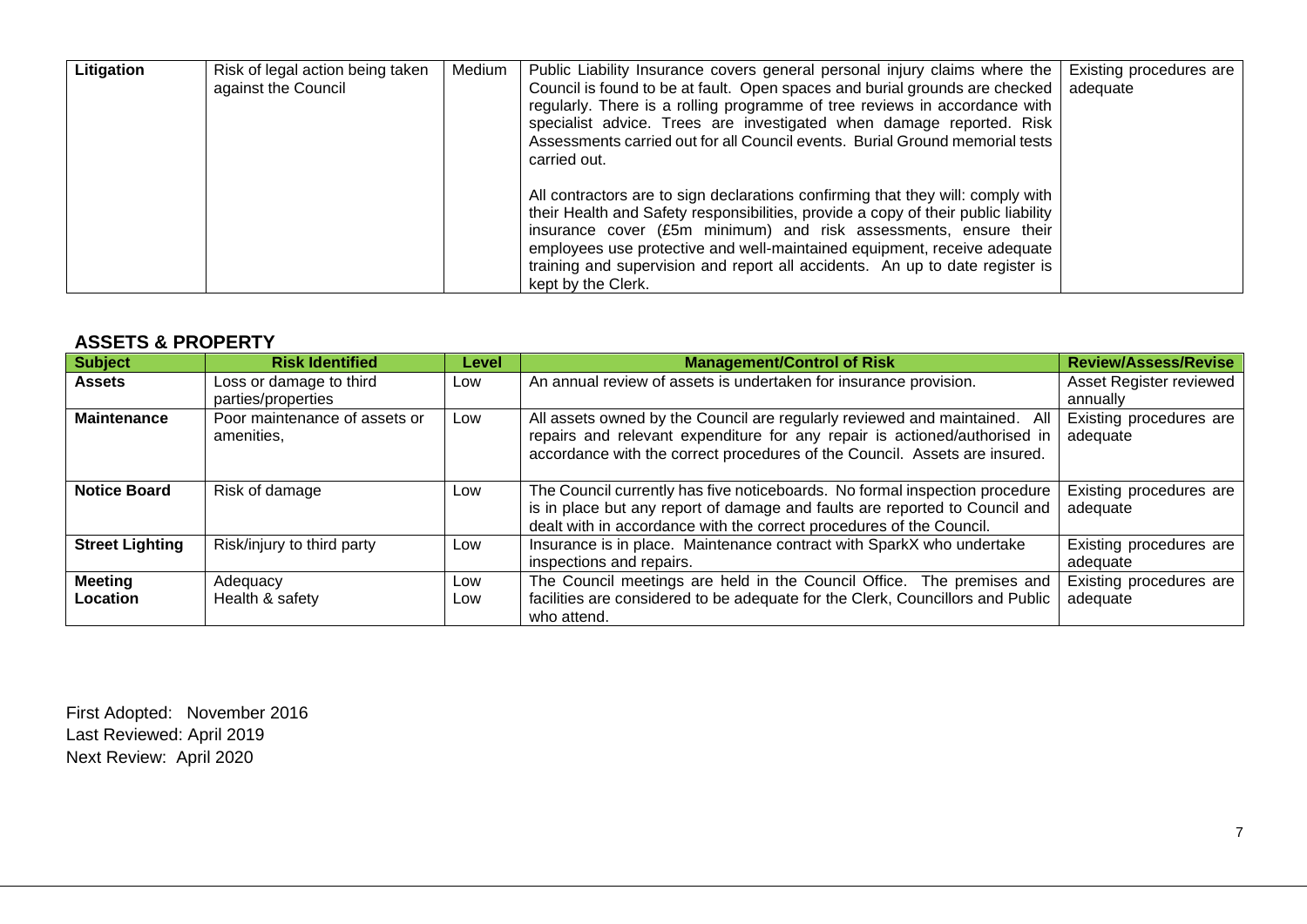| Litigation | Risk of legal action being taken<br>against the Council | Medium | Public Liability Insurance covers general personal injury claims where the<br>Council is found to be at fault. Open spaces and burial grounds are checked  <br>regularly. There is a rolling programme of tree reviews in accordance with<br>specialist advice. Trees are investigated when damage reported. Risk<br>Assessments carried out for all Council events. Burial Ground memorial tests<br>carried out.           | Existing procedures are<br>adequate |
|------------|---------------------------------------------------------|--------|-----------------------------------------------------------------------------------------------------------------------------------------------------------------------------------------------------------------------------------------------------------------------------------------------------------------------------------------------------------------------------------------------------------------------------|-------------------------------------|
|            |                                                         |        | All contractors are to sign declarations confirming that they will: comply with<br>their Health and Safety responsibilities, provide a copy of their public liability<br>insurance cover (£5m minimum) and risk assessments, ensure their<br>employees use protective and well-maintained equipment, receive adequate<br>training and supervision and report all accidents. An up to date register is<br>kept by the Clerk. |                                     |

## **ASSETS & PROPERTY**

| <b>Subject</b>             | <b>Risk Identified</b>                        | Level      | <b>Management/Control of Risk</b>                                                                                                                                                                                                     | <b>Review/Assess/Revise</b>         |
|----------------------------|-----------------------------------------------|------------|---------------------------------------------------------------------------------------------------------------------------------------------------------------------------------------------------------------------------------------|-------------------------------------|
| <b>Assets</b>              | Loss or damage to third<br>parties/properties | Low        | An annual review of assets is undertaken for insurance provision.                                                                                                                                                                     | Asset Register reviewed<br>annually |
| <b>Maintenance</b>         | Poor maintenance of assets or<br>amenities.   | Low        | All assets owned by the Council are regularly reviewed and maintained. All<br>repairs and relevant expenditure for any repair is actioned/authorised in<br>accordance with the correct procedures of the Council. Assets are insured. | Existing procedures are<br>adequate |
| <b>Notice Board</b>        | Risk of damage                                | Low        | The Council currently has five noticeboards. No formal inspection procedure<br>is in place but any report of damage and faults are reported to Council and<br>dealt with in accordance with the correct procedures of the Council.    | Existing procedures are<br>adequate |
| <b>Street Lighting</b>     | Risk/injury to third party                    | Low        | Insurance is in place. Maintenance contract with SparkX who undertake<br>inspections and repairs.                                                                                                                                     | Existing procedures are<br>adequate |
| <b>Meeting</b><br>Location | Adequacy<br>Health & safety                   | Low<br>Low | The Council meetings are held in the Council Office. The premises and<br>facilities are considered to be adequate for the Clerk, Councillors and Public<br>who attend.                                                                | Existing procedures are<br>adequate |

First Adopted: November 2016 Last Reviewed: April 2019 Next Review: April 2020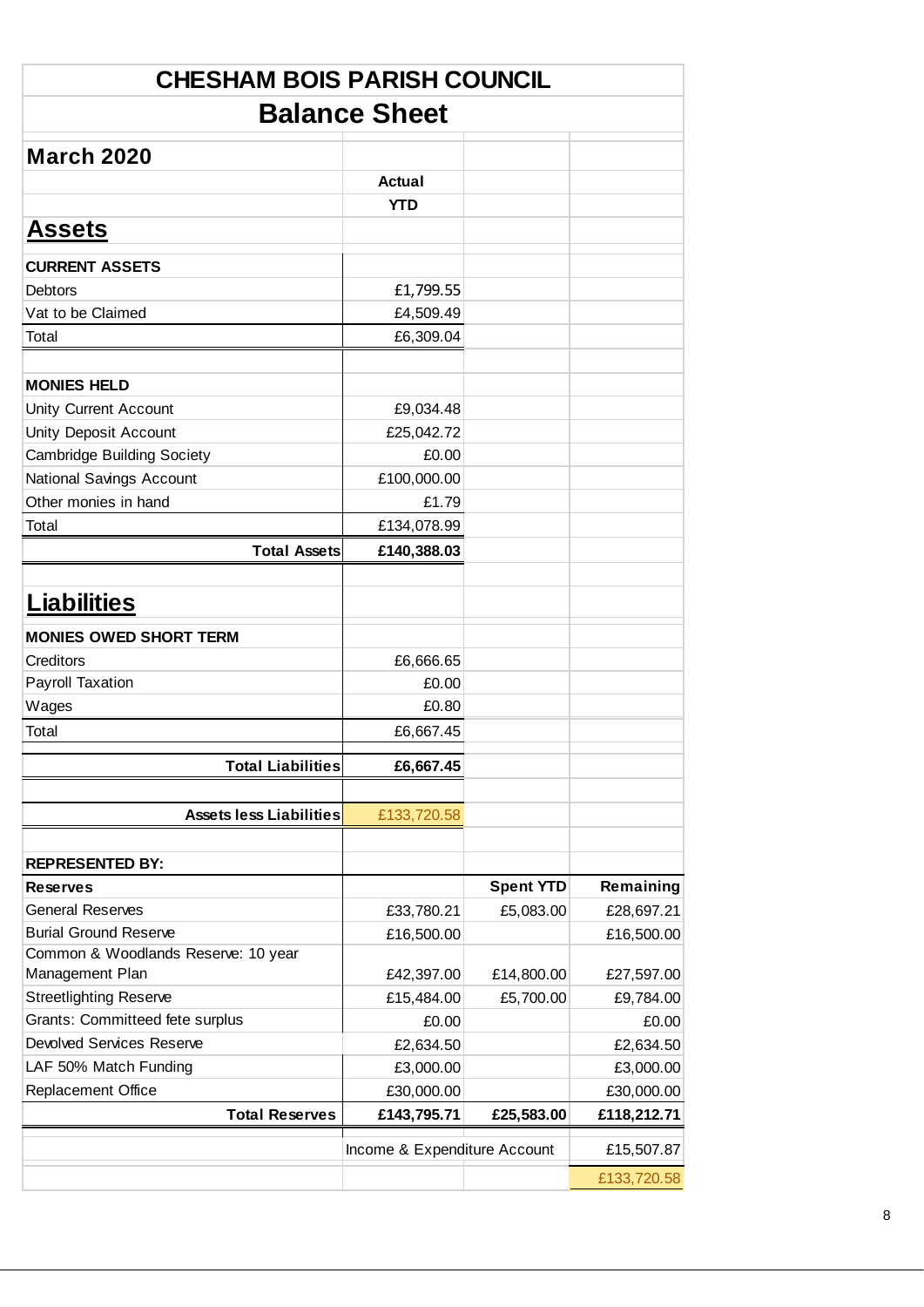| <b>CHESHAM BOIS PARISH COUNCIL</b>  |                              |                  |             |  |  |  |  |  |
|-------------------------------------|------------------------------|------------------|-------------|--|--|--|--|--|
| <b>Balance Sheet</b>                |                              |                  |             |  |  |  |  |  |
| <b>March 2020</b>                   |                              |                  |             |  |  |  |  |  |
|                                     | Actual                       |                  |             |  |  |  |  |  |
|                                     | <b>YTD</b>                   |                  |             |  |  |  |  |  |
| <b>Assets</b>                       |                              |                  |             |  |  |  |  |  |
|                                     |                              |                  |             |  |  |  |  |  |
| <b>CURRENT ASSETS</b>               |                              |                  |             |  |  |  |  |  |
| <b>Debtors</b>                      | £1,799.55                    |                  |             |  |  |  |  |  |
| Vat to be Claimed                   | £4,509.49                    |                  |             |  |  |  |  |  |
| Total                               | £6,309.04                    |                  |             |  |  |  |  |  |
|                                     |                              |                  |             |  |  |  |  |  |
| <b>MONIES HELD</b>                  |                              |                  |             |  |  |  |  |  |
| <b>Unity Current Account</b>        | £9,034.48                    |                  |             |  |  |  |  |  |
| <b>Unity Deposit Account</b>        | £25,042.72                   |                  |             |  |  |  |  |  |
| <b>Cambridge Building Society</b>   | £0.00                        |                  |             |  |  |  |  |  |
| National Savings Account            | £100,000.00                  |                  |             |  |  |  |  |  |
| Other monies in hand                | £1.79                        |                  |             |  |  |  |  |  |
| Total                               | £134,078.99                  |                  |             |  |  |  |  |  |
| <b>Total Assets</b>                 | £140,388.03                  |                  |             |  |  |  |  |  |
| <b>Liabilities</b>                  |                              |                  |             |  |  |  |  |  |
| <b>MONIES OWED SHORT TERM</b>       |                              |                  |             |  |  |  |  |  |
| Creditors                           | £6,666.65                    |                  |             |  |  |  |  |  |
| <b>Payroll Taxation</b>             | £0.00                        |                  |             |  |  |  |  |  |
| Wages                               | £0.80                        |                  |             |  |  |  |  |  |
| Total                               | £6,667.45                    |                  |             |  |  |  |  |  |
| <b>Total Liabilities</b>            | £6,667.45                    |                  |             |  |  |  |  |  |
|                                     |                              |                  |             |  |  |  |  |  |
| <b>Assets less Liabilities</b>      | £133,720.58                  |                  |             |  |  |  |  |  |
| <b>REPRESENTED BY:</b>              |                              |                  |             |  |  |  |  |  |
| <b>Reserves</b>                     |                              | <b>Spent YTD</b> | Remaining   |  |  |  |  |  |
| <b>General Reserves</b>             | £33,780.21                   | £5,083.00        | £28,697.21  |  |  |  |  |  |
| <b>Burial Ground Reserve</b>        | £16,500.00                   |                  | £16,500.00  |  |  |  |  |  |
| Common & Woodlands Reserve: 10 year |                              |                  |             |  |  |  |  |  |
| Management Plan                     | £42,397.00                   | £14,800.00       | £27,597.00  |  |  |  |  |  |
| <b>Streetlighting Reserve</b>       | £15,484.00                   | £5,700.00        | £9,784.00   |  |  |  |  |  |
| Grants: Committeed fete surplus     | £0.00                        |                  | £0.00       |  |  |  |  |  |
| <b>Devolved Services Reserve</b>    | £2,634.50                    |                  | £2,634.50   |  |  |  |  |  |
| LAF 50% Match Funding               | £3,000.00                    |                  | £3,000.00   |  |  |  |  |  |
| Replacement Office                  | £30,000.00                   |                  | £30,000.00  |  |  |  |  |  |
| <b>Total Reserves</b>               | £143,795.71                  | £25,583.00       | £118,212.71 |  |  |  |  |  |
|                                     | Income & Expenditure Account |                  | £15,507.87  |  |  |  |  |  |
|                                     |                              |                  | £133,720.58 |  |  |  |  |  |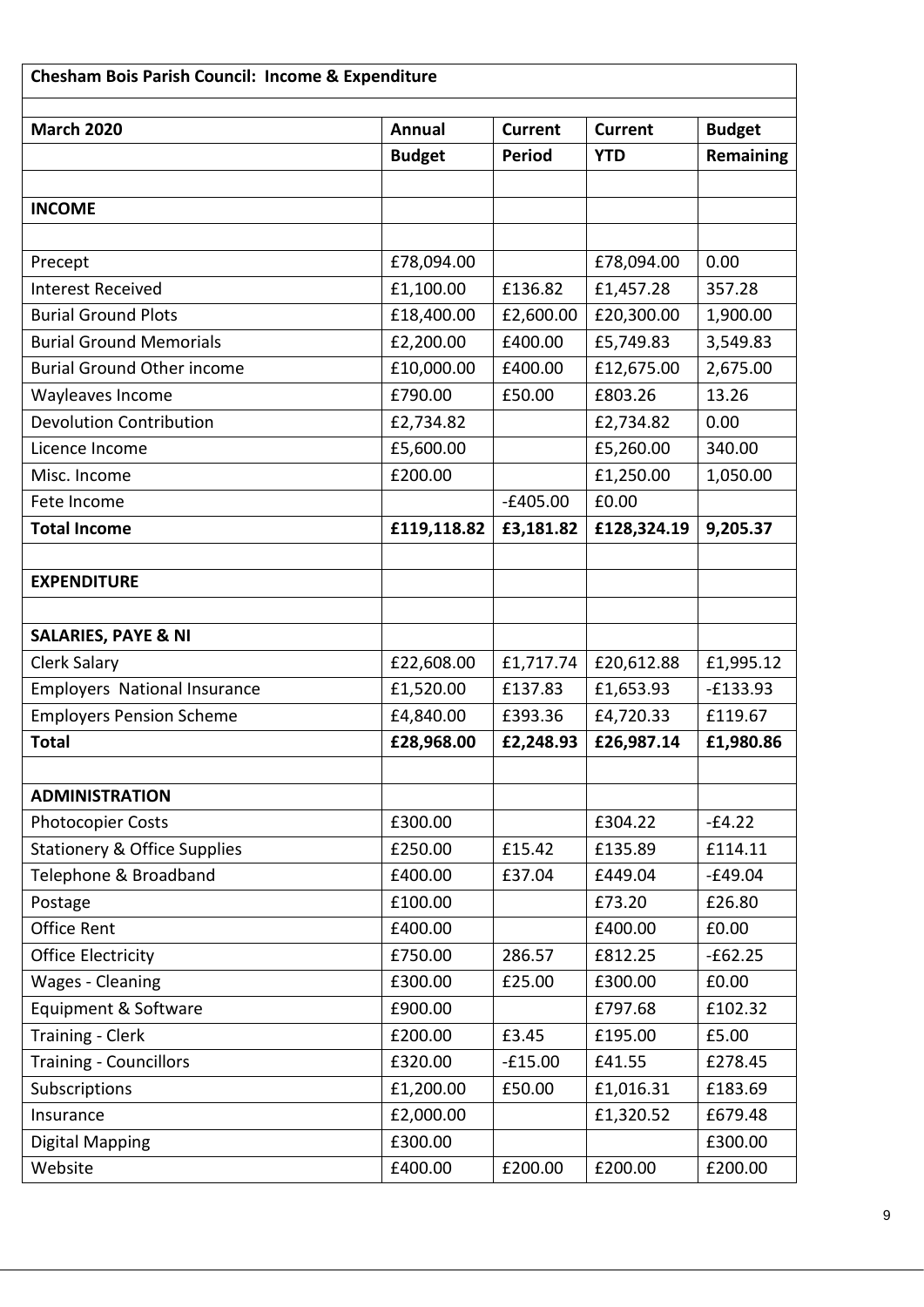| <b>March 2020</b>                       | <b>Annual</b> | <b>Current</b> | <b>Current</b> | <b>Budget</b> |
|-----------------------------------------|---------------|----------------|----------------|---------------|
|                                         | <b>Budget</b> | <b>Period</b>  | <b>YTD</b>     | Remaining     |
|                                         |               |                |                |               |
| <b>INCOME</b>                           |               |                |                |               |
|                                         |               |                |                |               |
| Precept                                 | £78,094.00    |                | £78,094.00     | 0.00          |
| <b>Interest Received</b>                | £1,100.00     | £136.82        | £1,457.28      | 357.28        |
| <b>Burial Ground Plots</b>              | £18,400.00    | £2,600.00      | £20,300.00     | 1,900.00      |
| <b>Burial Ground Memorials</b>          | £2,200.00     | £400.00        | £5,749.83      | 3,549.83      |
| <b>Burial Ground Other income</b>       | £10,000.00    | £400.00        | £12,675.00     | 2,675.00      |
| Wayleaves Income                        | £790.00       | £50.00         | £803.26        | 13.26         |
| <b>Devolution Contribution</b>          | £2,734.82     |                | £2,734.82      | 0.00          |
| Licence Income                          | £5,600.00     |                | £5,260.00      | 340.00        |
| Misc. Income                            | £200.00       |                | £1,250.00      | 1,050.00      |
| Fete Income                             |               | $-£405.00$     | £0.00          |               |
| <b>Total Income</b>                     | £119,118.82   | £3,181.82      | £128,324.19    | 9,205.37      |
|                                         |               |                |                |               |
| <b>EXPENDITURE</b>                      |               |                |                |               |
|                                         |               |                |                |               |
| <b>SALARIES, PAYE &amp; NI</b>          |               |                |                |               |
| <b>Clerk Salary</b>                     | £22,608.00    | £1,717.74      | £20,612.88     | £1,995.12     |
| <b>Employers National Insurance</b>     | £1,520.00     | £137.83        | £1,653.93      | $-E133.93$    |
| <b>Employers Pension Scheme</b>         | £4,840.00     | £393.36        | £4,720.33      | £119.67       |
| <b>Total</b>                            | £28,968.00    | £2,248.93      | £26,987.14     | £1,980.86     |
|                                         |               |                |                |               |
| <b>ADMINISTRATION</b>                   |               |                |                |               |
| <b>Photocopier Costs</b>                | £300.00       |                | £304.22        | $-£4.22$      |
| <b>Stationery &amp; Office Supplies</b> | £250.00       | £15.42         | £135.89        | £114.11       |
| Telephone & Broadband                   | £400.00       | £37.04         | £449.04        | $-£49.04$     |
| Postage                                 | £100.00       |                | £73.20         | £26.80        |
| <b>Office Rent</b>                      | £400.00       |                | £400.00        | £0.00         |
| <b>Office Electricity</b>               | £750.00       | 286.57         | £812.25        | $-£62.25$     |
| Wages - Cleaning                        | £300.00       | £25.00         | £300.00        | £0.00         |
| Equipment & Software                    | £900.00       |                | £797.68        | £102.32       |
| Training - Clerk                        | £200.00       | £3.45          | £195.00        | £5.00         |
| <b>Training - Councillors</b>           | £320.00       | $-£15.00$      | £41.55         | £278.45       |
| Subscriptions                           | £1,200.00     | £50.00         | £1,016.31      | £183.69       |
| Insurance                               | £2,000.00     |                | £1,320.52      | £679.48       |
| Digital Mapping                         | £300.00       |                |                | £300.00       |
| Website                                 | £400.00       | £200.00        | £200.00        | £200.00       |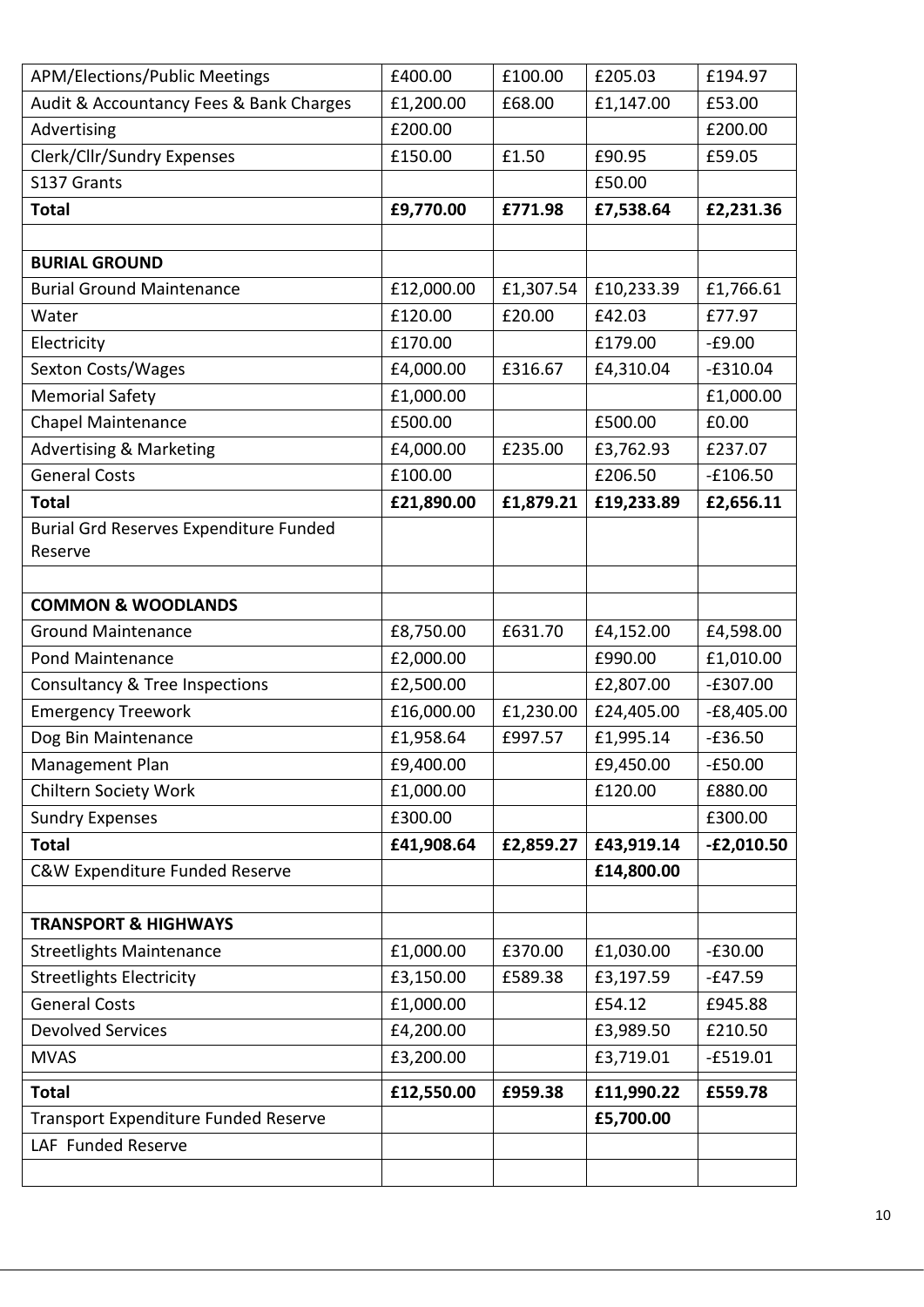| <b>APM/Elections/Public Meetings</b>          | £400.00    | £100.00   | £205.03    | £194.97      |
|-----------------------------------------------|------------|-----------|------------|--------------|
| Audit & Accountancy Fees & Bank Charges       | £1,200.00  | £68.00    | £1,147.00  | £53.00       |
| Advertising                                   | £200.00    |           |            | £200.00      |
| Clerk/Cllr/Sundry Expenses                    | £150.00    | £1.50     | £90.95     | £59.05       |
| S137 Grants                                   |            |           | £50.00     |              |
| <b>Total</b>                                  | £9,770.00  | £771.98   | £7,538.64  | £2,231.36    |
|                                               |            |           |            |              |
| <b>BURIAL GROUND</b>                          |            |           |            |              |
| <b>Burial Ground Maintenance</b>              | £12,000.00 | £1,307.54 | £10,233.39 | £1,766.61    |
| Water                                         | £120.00    | £20.00    | £42.03     | £77.97       |
| Electricity                                   | £170.00    |           | £179.00    | $-£9.00$     |
| Sexton Costs/Wages                            | £4,000.00  | £316.67   | £4,310.04  | $-£310.04$   |
| <b>Memorial Safety</b>                        | £1,000.00  |           |            | £1,000.00    |
| <b>Chapel Maintenance</b>                     | £500.00    |           | £500.00    | £0.00        |
| <b>Advertising &amp; Marketing</b>            | £4,000.00  | £235.00   | £3,762.93  | £237.07      |
| <b>General Costs</b>                          | £100.00    |           | £206.50    | $-£106.50$   |
| <b>Total</b>                                  | £21,890.00 | £1,879.21 | £19,233.89 | £2,656.11    |
| <b>Burial Grd Reserves Expenditure Funded</b> |            |           |            |              |
| Reserve                                       |            |           |            |              |
|                                               |            |           |            |              |
| <b>COMMON &amp; WOODLANDS</b>                 |            |           |            |              |
| <b>Ground Maintenance</b>                     | £8,750.00  | £631.70   | £4,152.00  | £4,598.00    |
| <b>Pond Maintenance</b>                       | £2,000.00  |           | £990.00    | £1,010.00    |
| Consultancy & Tree Inspections                | £2,500.00  |           | £2,807.00  | $-£307.00$   |
| <b>Emergency Treework</b>                     | £16,000.00 | £1,230.00 | £24,405.00 | $-E8,405.00$ |
| Dog Bin Maintenance                           | £1,958.64  | £997.57   | £1,995.14  | $-£36.50$    |
| Management Plan                               | £9,400.00  |           | £9,450.00  | $-£50.00$    |
| Chiltern Society Work                         | £1,000.00  |           | £120.00    | £880.00      |
| <b>Sundry Expenses</b>                        | £300.00    |           |            | £300.00      |
| <b>Total</b>                                  | £41,908.64 | £2,859.27 | £43,919.14 | $-E2,010.50$ |
| C&W Expenditure Funded Reserve                |            |           | £14,800.00 |              |
|                                               |            |           |            |              |
| <b>TRANSPORT &amp; HIGHWAYS</b>               |            |           |            |              |
| <b>Streetlights Maintenance</b>               | £1,000.00  | £370.00   | £1,030.00  | $-£30.00$    |
| <b>Streetlights Electricity</b>               | £3,150.00  | £589.38   | £3,197.59  | $-E47.59$    |
| <b>General Costs</b>                          | £1,000.00  |           | £54.12     | £945.88      |
| <b>Devolved Services</b>                      | £4,200.00  |           | £3,989.50  | £210.50      |
| <b>MVAS</b>                                   | £3,200.00  |           | £3,719.01  | $-£519.01$   |
| <b>Total</b>                                  | £12,550.00 | £959.38   | £11,990.22 | £559.78      |
| Transport Expenditure Funded Reserve          |            |           | £5,700.00  |              |
| LAF Funded Reserve                            |            |           |            |              |
|                                               |            |           |            |              |
|                                               |            |           |            |              |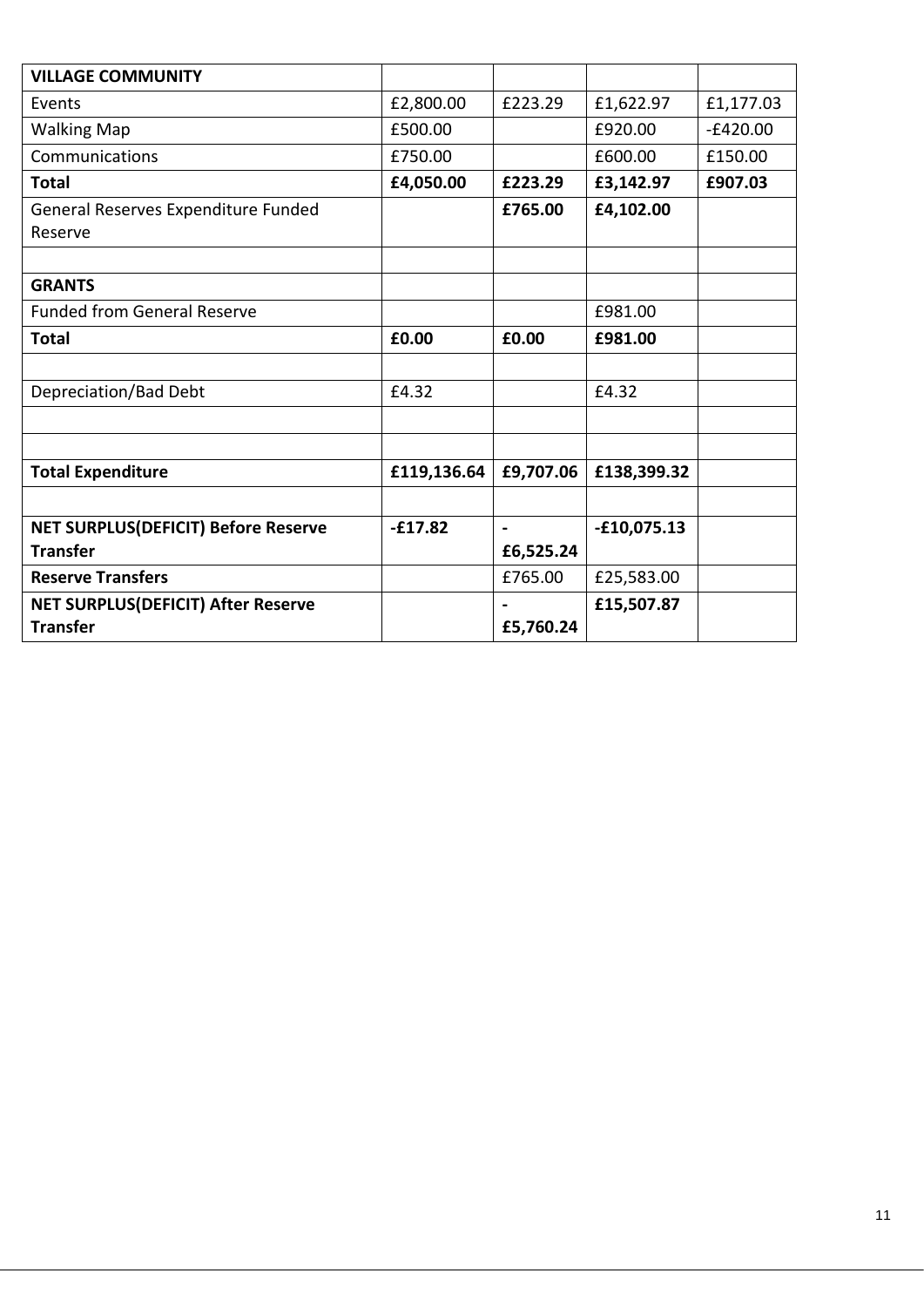| <b>VILLAGE COMMUNITY</b>                   |             |                |               |            |
|--------------------------------------------|-------------|----------------|---------------|------------|
| Events                                     | £2,800.00   | £223.29        | £1,622.97     | £1,177.03  |
| <b>Walking Map</b>                         | £500.00     |                | £920.00       | $-E420.00$ |
| Communications                             | £750.00     |                | £600.00       | £150.00    |
| <b>Total</b>                               | £4,050.00   | £223.29        | £3,142.97     | £907.03    |
| General Reserves Expenditure Funded        |             | £765.00        | £4,102.00     |            |
| Reserve                                    |             |                |               |            |
|                                            |             |                |               |            |
| <b>GRANTS</b>                              |             |                |               |            |
| <b>Funded from General Reserve</b>         |             |                | £981.00       |            |
| <b>Total</b>                               | £0.00       | £0.00          | £981.00       |            |
|                                            |             |                |               |            |
| Depreciation/Bad Debt                      | £4.32       |                | £4.32         |            |
|                                            |             |                |               |            |
|                                            |             |                |               |            |
| <b>Total Expenditure</b>                   | £119,136.64 | £9,707.06      | £138,399.32   |            |
|                                            |             |                |               |            |
| <b>NET SURPLUS(DEFICIT) Before Reserve</b> | $-£17.82$   | $\blacksquare$ | $-£10,075.13$ |            |
| <b>Transfer</b>                            |             | £6,525.24      |               |            |
| <b>Reserve Transfers</b>                   |             | £765.00        | £25,583.00    |            |
| <b>NET SURPLUS(DEFICIT) After Reserve</b>  |             |                | £15,507.87    |            |
| <b>Transfer</b>                            |             | £5,760.24      |               |            |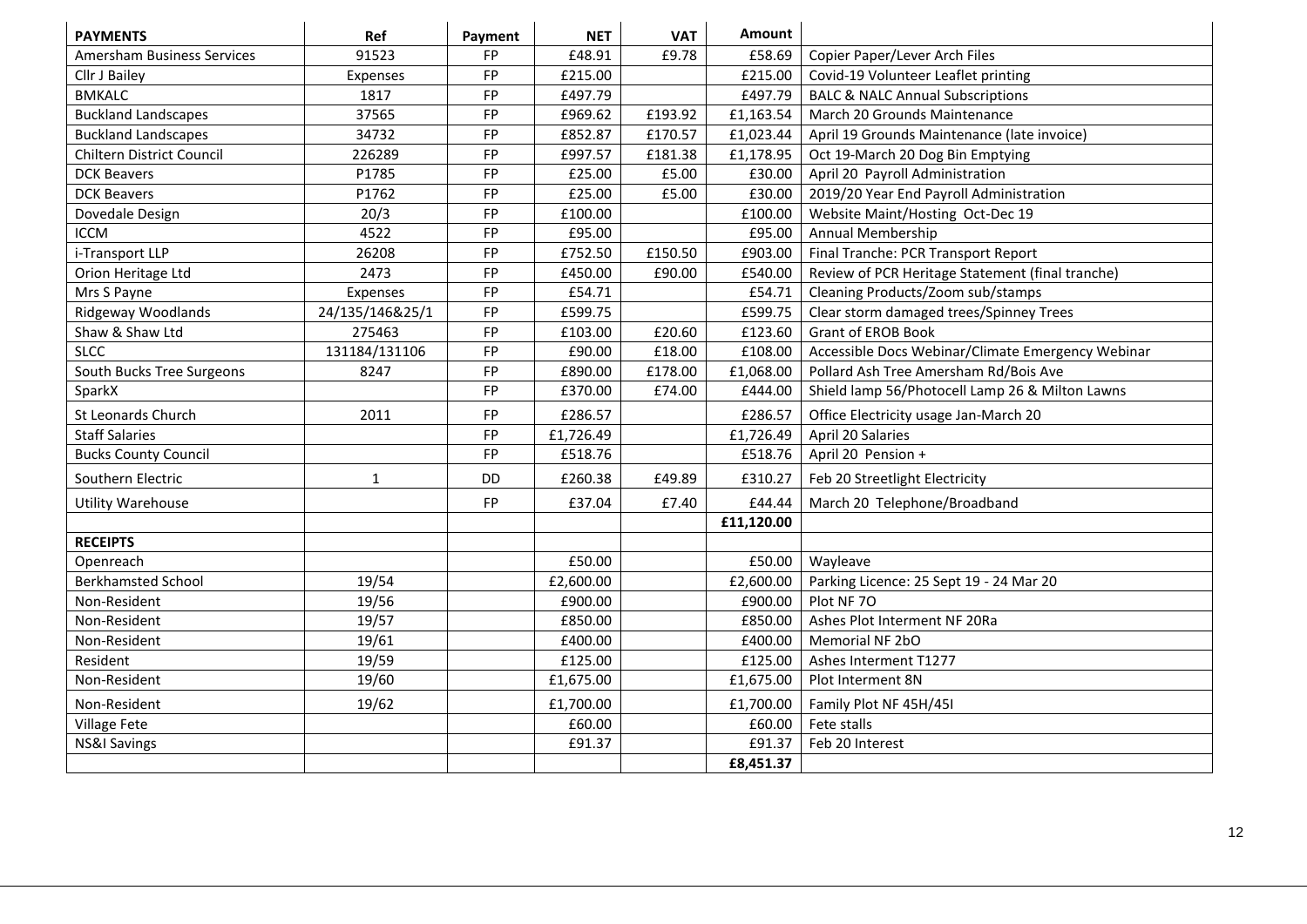| <b>PAYMENTS</b>             | Ref             | Payment   | <b>NET</b> | <b>VAT</b> | Amount     |                                                   |
|-----------------------------|-----------------|-----------|------------|------------|------------|---------------------------------------------------|
| Amersham Business Services  | 91523           | <b>FP</b> | £48.91     | £9.78      | £58.69     | Copier Paper/Lever Arch Files                     |
| Cllr J Bailey               | Expenses        | FP        | £215.00    |            | £215.00    | Covid-19 Volunteer Leaflet printing               |
| <b>BMKALC</b>               | 1817            | FP        | £497.79    |            | £497.79    | <b>BALC &amp; NALC Annual Subscriptions</b>       |
| <b>Buckland Landscapes</b>  | 37565           | FP        | £969.62    | £193.92    | £1,163.54  | March 20 Grounds Maintenance                      |
| <b>Buckland Landscapes</b>  | 34732           | FP        | £852.87    | £170.57    | £1,023.44  | April 19 Grounds Maintenance (late invoice)       |
| Chiltern District Council   | 226289          | <b>FP</b> | £997.57    | £181.38    | £1,178.95  | Oct 19-March 20 Dog Bin Emptying                  |
| <b>DCK Beavers</b>          | P1785           | FP        | £25.00     | £5.00      | £30.00     | April 20 Payroll Administration                   |
| <b>DCK Beavers</b>          | P1762           | <b>FP</b> | £25.00     | £5.00      | £30.00     | 2019/20 Year End Payroll Administration           |
| Dovedale Design             | 20/3            | FP        | £100.00    |            | £100.00    | Website Maint/Hosting Oct-Dec 19                  |
| <b>ICCM</b>                 | 4522            | FP        | £95.00     |            | £95.00     | Annual Membership                                 |
| i-Transport LLP             | 26208           | FP        | £752.50    | £150.50    | £903.00    | Final Tranche: PCR Transport Report               |
| Orion Heritage Ltd          | 2473            | FP        | £450.00    | £90.00     | £540.00    | Review of PCR Heritage Statement (final tranche)  |
| Mrs S Payne                 | Expenses        | <b>FP</b> | £54.71     |            | £54.71     | Cleaning Products/Zoom sub/stamps                 |
| Ridgeway Woodlands          | 24/135/146&25/1 | FP        | £599.75    |            | £599.75    | Clear storm damaged trees/Spinney Trees           |
| Shaw & Shaw Ltd             | 275463          | FP        | £103.00    | £20.60     | £123.60    | <b>Grant of EROB Book</b>                         |
| <b>SLCC</b>                 | 131184/131106   | FP        | £90.00     | £18.00     | £108.00    | Accessible Docs Webinar/Climate Emergency Webinar |
| South Bucks Tree Surgeons   | 8247            | FP        | £890.00    | £178.00    | £1,068.00  | Pollard Ash Tree Amersham Rd/Bois Ave             |
| SparkX                      |                 | <b>FP</b> | £370.00    | £74.00     | £444.00    | Shield lamp 56/Photocell Lamp 26 & Milton Lawns   |
| St Leonards Church          | 2011            | <b>FP</b> | £286.57    |            | £286.57    | Office Electricity usage Jan-March 20             |
| <b>Staff Salaries</b>       |                 | FP        | £1,726.49  |            | £1,726.49  | April 20 Salaries                                 |
| <b>Bucks County Council</b> |                 | FP        | £518.76    |            | £518.76    | April 20 Pension +                                |
| Southern Electric           | $\mathbf{1}$    | DD        | £260.38    | £49.89     | £310.27    | Feb 20 Streetlight Electricity                    |
| <b>Utility Warehouse</b>    |                 | <b>FP</b> | £37.04     | £7.40      | £44.44     | March 20 Telephone/Broadband                      |
|                             |                 |           |            |            | £11,120.00 |                                                   |
| <b>RECEIPTS</b>             |                 |           |            |            |            |                                                   |
| Openreach                   |                 |           | £50.00     |            | £50.00     | Wayleave                                          |
| <b>Berkhamsted School</b>   | 19/54           |           | £2,600.00  |            | £2,600.00  | Parking Licence: 25 Sept 19 - 24 Mar 20           |
| Non-Resident                | 19/56           |           | £900.00    |            | £900.00    | Plot NF 70                                        |
| Non-Resident                | 19/57           |           | £850.00    |            | £850.00    | Ashes Plot Interment NF 20Ra                      |
| Non-Resident                | 19/61           |           | £400.00    |            | £400.00    | Memorial NF 2bO                                   |
| Resident                    | 19/59           |           | £125.00    |            | £125.00    | Ashes Interment T1277                             |
| Non-Resident                | 19/60           |           | £1,675.00  |            | £1,675.00  | Plot Interment 8N                                 |
| Non-Resident                | 19/62           |           | £1,700.00  |            | £1,700.00  | Family Plot NF 45H/45I                            |
| Village Fete                |                 |           | £60.00     |            | £60.00     | Fete stalls                                       |
| <b>NS&amp;I Savings</b>     |                 |           | £91.37     |            | £91.37     | Feb 20 Interest                                   |
|                             |                 |           |            |            | £8,451.37  |                                                   |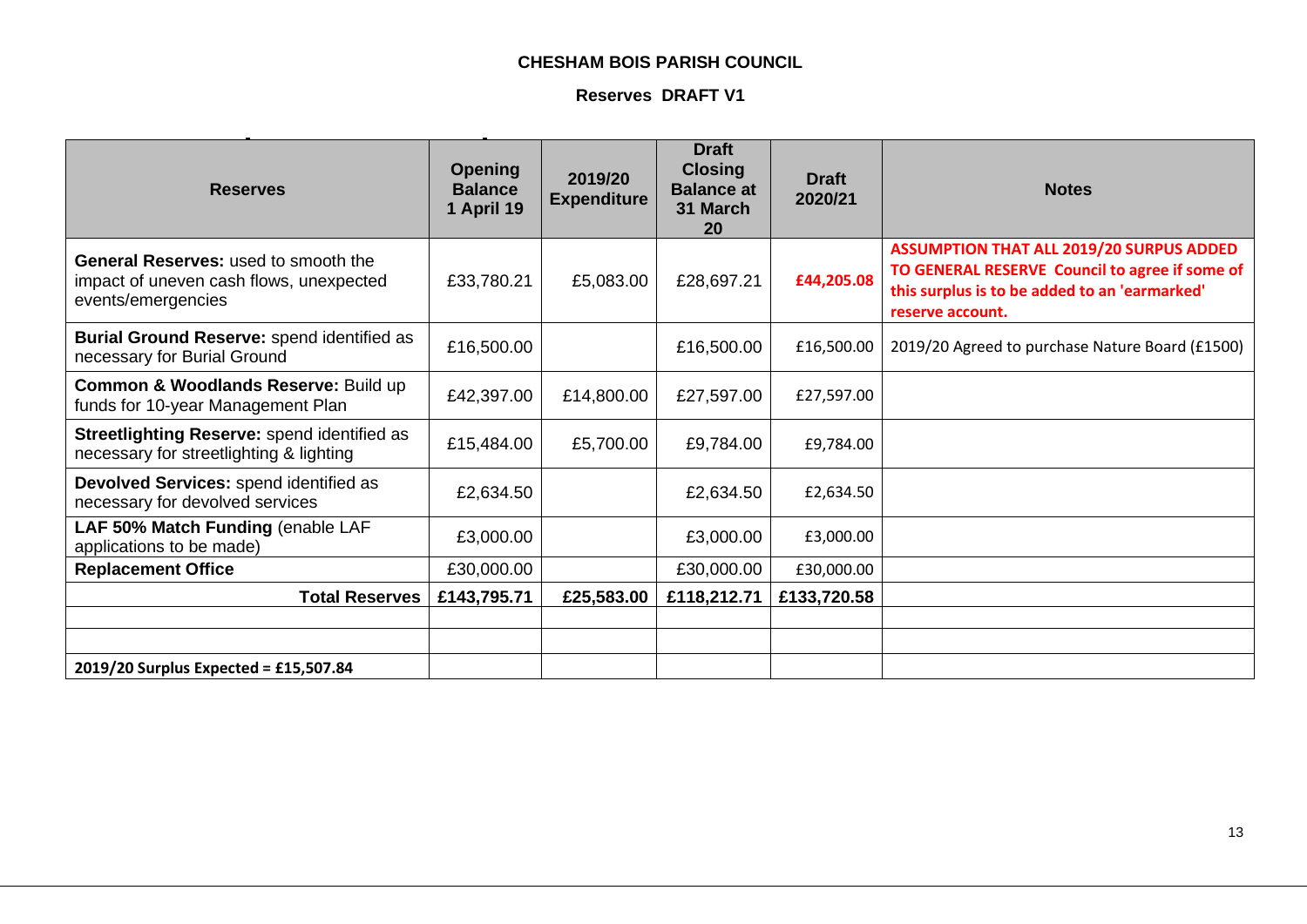## **CHESHAM BOIS PARISH COUNCIL**

## **Reserves DRAFT V1**

| <b>Reserves</b>                                                                                              | <b>Opening</b><br><b>Balance</b><br>1 April 19 | 2019/20<br><b>Expenditure</b> | <b>Draft</b><br><b>Closing</b><br><b>Balance at</b><br>31 March<br>20 | <b>Draft</b><br>2020/21 | <b>Notes</b>                                                                                                                                                           |
|--------------------------------------------------------------------------------------------------------------|------------------------------------------------|-------------------------------|-----------------------------------------------------------------------|-------------------------|------------------------------------------------------------------------------------------------------------------------------------------------------------------------|
| <b>General Reserves: used to smooth the</b><br>impact of uneven cash flows, unexpected<br>events/emergencies | £33,780.21                                     | £5,083.00                     | £28,697.21                                                            | £44,205.08              | <b>ASSUMPTION THAT ALL 2019/20 SURPUS ADDED</b><br>TO GENERAL RESERVE Council to agree if some of<br>this surplus is to be added to an 'earmarked'<br>reserve account. |
| Burial Ground Reserve: spend identified as<br>necessary for Burial Ground                                    | £16,500.00                                     |                               | £16,500.00                                                            | £16,500.00              | 2019/20 Agreed to purchase Nature Board (£1500)                                                                                                                        |
| Common & Woodlands Reserve: Build up<br>funds for 10-year Management Plan                                    | £42,397.00                                     | £14,800.00                    | £27,597.00                                                            | £27,597.00              |                                                                                                                                                                        |
| Streetlighting Reserve: spend identified as<br>necessary for streetlighting & lighting                       | £15,484.00                                     | £5,700.00                     | £9,784.00                                                             | £9,784.00               |                                                                                                                                                                        |
| Devolved Services: spend identified as<br>necessary for devolved services                                    | £2,634.50                                      |                               | £2,634.50                                                             | £2,634.50               |                                                                                                                                                                        |
| LAF 50% Match Funding (enable LAF<br>applications to be made)                                                | £3,000.00                                      |                               | £3,000.00                                                             | £3,000.00               |                                                                                                                                                                        |
| <b>Replacement Office</b>                                                                                    | £30,000.00                                     |                               | £30,000.00                                                            | £30,000.00              |                                                                                                                                                                        |
| <b>Total Reserves</b>                                                                                        | £143,795.71                                    | £25,583.00                    | £118,212.71                                                           | £133,720.58             |                                                                                                                                                                        |
|                                                                                                              |                                                |                               |                                                                       |                         |                                                                                                                                                                        |
|                                                                                                              |                                                |                               |                                                                       |                         |                                                                                                                                                                        |
| 2019/20 Surplus Expected = £15,507.84                                                                        |                                                |                               |                                                                       |                         |                                                                                                                                                                        |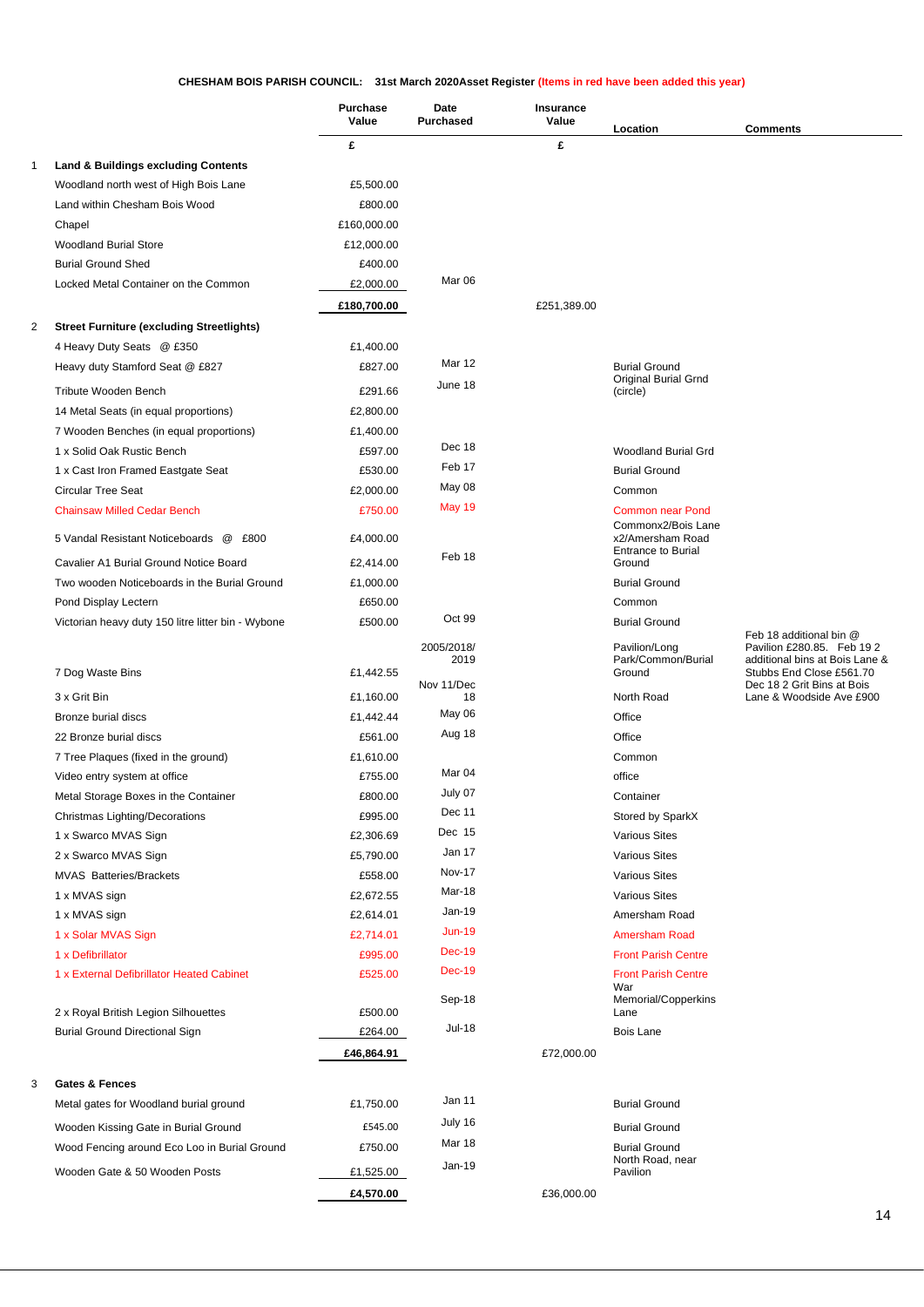#### **CHESHAM BOIS PARISH COUNCIL: 31st March 2020Asset Register (Items in red have been added this year)**

|   |                                                                                      | <b>Purchase</b><br>Value | Date<br><b>Purchased</b> | <b>Insurance</b><br>Value | Location                                      | <b>Comments</b>                                            |
|---|--------------------------------------------------------------------------------------|--------------------------|--------------------------|---------------------------|-----------------------------------------------|------------------------------------------------------------|
|   |                                                                                      | £                        |                          | £                         |                                               |                                                            |
| 1 | <b>Land &amp; Buildings excluding Contents</b>                                       |                          |                          |                           |                                               |                                                            |
|   | Woodland north west of High Bois Lane                                                | £5,500.00                |                          |                           |                                               |                                                            |
|   | Land within Chesham Bois Wood                                                        | £800.00                  |                          |                           |                                               |                                                            |
|   | Chapel                                                                               | £160,000.00              |                          |                           |                                               |                                                            |
|   | <b>Woodland Burial Store</b>                                                         | £12,000.00               |                          |                           |                                               |                                                            |
|   | <b>Burial Ground Shed</b>                                                            | £400.00                  |                          |                           |                                               |                                                            |
|   | Locked Metal Container on the Common                                                 | £2,000.00                | Mar 06                   |                           |                                               |                                                            |
|   |                                                                                      | £180,700.00              |                          | £251,389.00               |                                               |                                                            |
| 2 | <b>Street Furniture (excluding Streetlights)</b>                                     |                          |                          |                           |                                               |                                                            |
|   | 4 Heavy Duty Seats @ £350                                                            | £1,400.00                |                          |                           |                                               |                                                            |
|   | Heavy duty Stamford Seat @ £827                                                      | £827.00                  | <b>Mar 12</b>            |                           | <b>Burial Ground</b>                          |                                                            |
|   | Tribute Wooden Bench                                                                 | £291.66                  | June 18                  |                           | <b>Original Burial Grnd</b><br>(circle)       |                                                            |
|   | 14 Metal Seats (in equal proportions)                                                | £2,800.00                |                          |                           |                                               |                                                            |
|   | 7 Wooden Benches (in equal proportions)                                              | £1,400.00                |                          |                           |                                               |                                                            |
|   | 1 x Solid Oak Rustic Bench                                                           | £597.00                  | Dec 18                   |                           | Woodland Burial Grd                           |                                                            |
|   | 1 x Cast Iron Framed Eastgate Seat                                                   | £530.00                  | Feb 17                   |                           | <b>Burial Ground</b>                          |                                                            |
|   | <b>Circular Tree Seat</b>                                                            | £2,000.00                | May 08                   |                           | Common                                        |                                                            |
|   | <b>Chainsaw Milled Cedar Bench</b>                                                   | £750.00                  | <b>May 19</b>            |                           | <b>Common near Pond</b>                       |                                                            |
|   | 5 Vandal Resistant Noticeboards @ £800                                               |                          |                          |                           | Commonx2/Bois Lane                            |                                                            |
|   |                                                                                      | £4,000.00                | Feb 18                   |                           | x2/Amersham Road<br><b>Entrance to Burial</b> |                                                            |
|   | Cavalier A1 Burial Ground Notice Board                                               | £2,414.00                |                          |                           | Ground                                        |                                                            |
|   | Two wooden Noticeboards in the Burial Ground                                         | £1,000.00                |                          |                           | <b>Burial Ground</b>                          |                                                            |
|   | Pond Display Lectern                                                                 | £650.00                  |                          |                           | Common                                        |                                                            |
|   | Victorian heavy duty 150 litre litter bin - Wybone                                   | £500.00                  | Oct 99                   |                           | <b>Burial Ground</b>                          | Feb 18 additional bin @                                    |
|   |                                                                                      |                          | 2005/2018/               |                           | Pavilion/Long                                 | Pavilion £280.85. Feb 192                                  |
|   | 7 Dog Waste Bins                                                                     | £1,442.55                | 2019                     |                           | Park/Common/Burial<br>Ground                  | additional bins at Bois Lane &<br>Stubbs End Close £561.70 |
|   | 3 x Grit Bin                                                                         | £1,160.00                | Nov 11/Dec<br>18         |                           | North Road                                    | Dec 18 2 Grit Bins at Bois<br>Lane & Woodside Ave £900     |
|   | Bronze burial discs                                                                  | £1,442.44                | May 06                   |                           | Office                                        |                                                            |
|   | 22 Bronze burial discs                                                               | £561.00                  | Aug 18                   |                           | Office                                        |                                                            |
|   | 7 Tree Plaques (fixed in the ground)                                                 | £1,610.00                |                          |                           | Common                                        |                                                            |
|   | Video entry system at office                                                         | £755.00                  | Mar 04                   |                           | office                                        |                                                            |
|   | Metal Storage Boxes in the Container                                                 | £800.00                  | July 07                  |                           | Container                                     |                                                            |
|   | Christmas Lighting/Decorations                                                       | £995.00                  | Dec 11                   |                           | Stored by SparkX                              |                                                            |
|   | 1 x Swarco MVAS Sign                                                                 | £2,306.69                | Dec 15                   |                           | <b>Various Sites</b>                          |                                                            |
|   | 2 x Swarco MVAS Sign                                                                 | £5,790.00                | Jan 17                   |                           | <b>Various Sites</b>                          |                                                            |
|   | <b>MVAS Batteries/Brackets</b>                                                       | £558.00                  | <b>Nov-17</b>            |                           | <b>Various Sites</b>                          |                                                            |
|   | 1 x MVAS sign                                                                        | £2,672.55                | Mar-18                   |                           | <b>Various Sites</b>                          |                                                            |
|   | 1 x MVAS sign                                                                        | £2,614.01                | Jan-19                   |                           | Amersham Road                                 |                                                            |
|   | 1 x Solar MVAS Sign                                                                  | £2,714.01                | $Jun-19$                 |                           | <b>Amersham Road</b>                          |                                                            |
|   | 1 x Defibrillator                                                                    | £995.00                  | <b>Dec-19</b>            |                           | <b>Front Parish Centre</b>                    |                                                            |
|   | 1 x External Defibrillator Heated Cabinet                                            | £525.00                  | Dec-19                   |                           | <b>Front Parish Centre</b>                    |                                                            |
|   |                                                                                      |                          | Sep-18                   |                           | War<br>Memorial/Copperkins                    |                                                            |
|   | 2 x Royal British Legion Silhouettes                                                 | £500.00                  |                          |                           | Lane                                          |                                                            |
|   | <b>Burial Ground Directional Sign</b>                                                | £264.00                  | <b>Jul-18</b>            |                           | <b>Bois Lane</b>                              |                                                            |
|   |                                                                                      | £46,864.91               |                          | £72,000.00                |                                               |                                                            |
| 3 | <b>Gates &amp; Fences</b>                                                            |                          |                          |                           |                                               |                                                            |
|   | Metal gates for Woodland burial ground                                               | £1,750.00                | Jan 11                   |                           | <b>Burial Ground</b>                          |                                                            |
|   |                                                                                      | £545.00                  | July 16                  |                           |                                               |                                                            |
|   | Wooden Kissing Gate in Burial Ground<br>Wood Fencing around Eco Loo in Burial Ground | £750.00                  | Mar 18                   |                           | <b>Burial Ground</b><br><b>Burial Ground</b>  |                                                            |
|   |                                                                                      |                          | Jan-19                   |                           | North Road, near                              |                                                            |
|   | Wooden Gate & 50 Wooden Posts                                                        | £1,525.00                |                          |                           | Pavilion                                      |                                                            |
|   |                                                                                      | £4,570.00                |                          | £36,000.00                |                                               |                                                            |
|   |                                                                                      |                          |                          |                           |                                               | 14                                                         |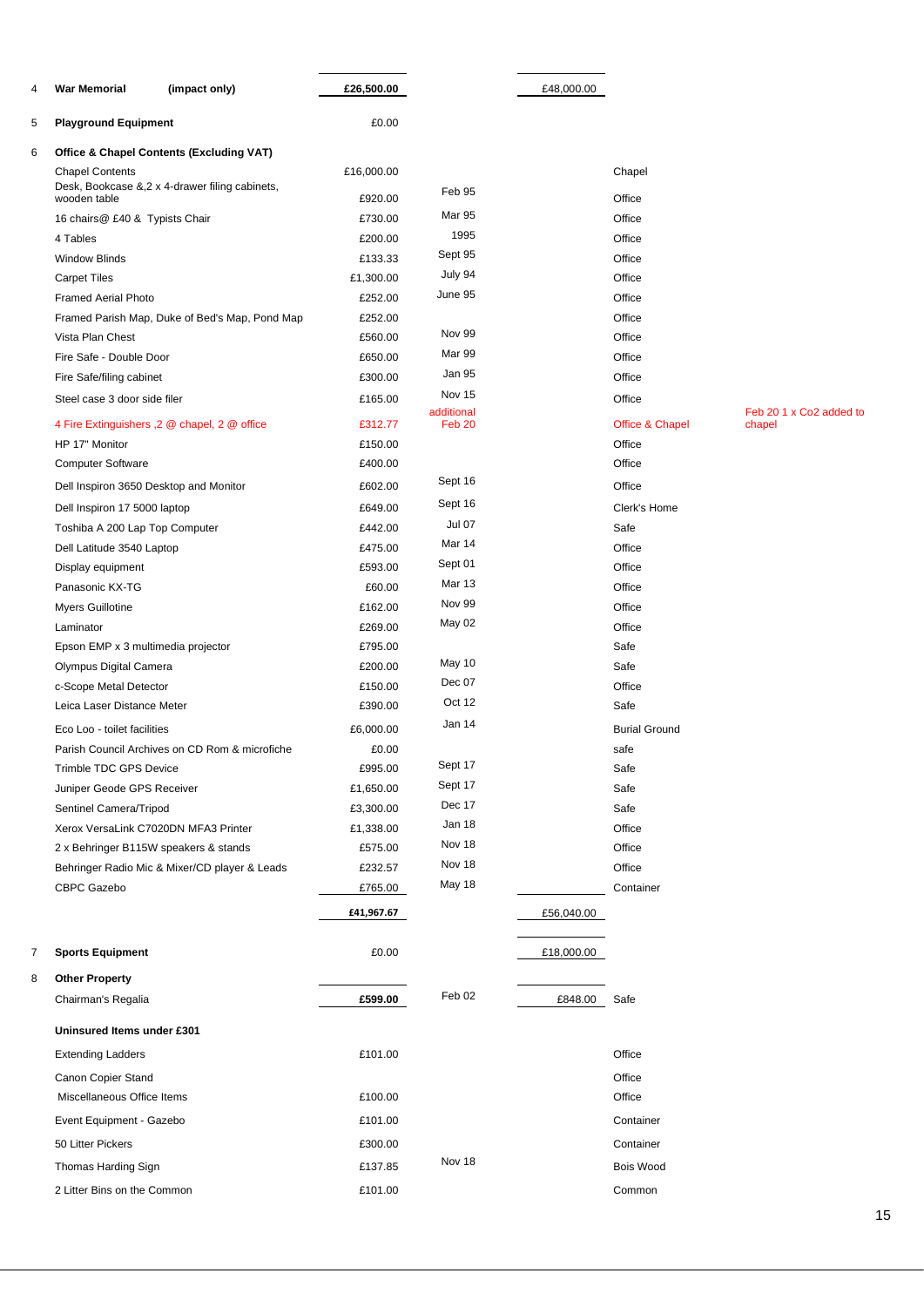| 4 | <b>War Memorial</b>                    | (impact only)                                       | £26,500.00         |                      | £48,000.00 |                      |                         |
|---|----------------------------------------|-----------------------------------------------------|--------------------|----------------------|------------|----------------------|-------------------------|
| 5 | <b>Playground Equipment</b>            |                                                     | £0.00              |                      |            |                      |                         |
| 6 |                                        | <b>Office &amp; Chapel Contents (Excluding VAT)</b> |                    |                      |            |                      |                         |
|   | <b>Chapel Contents</b>                 |                                                     | £16,000.00         |                      |            | Chapel               |                         |
|   | wooden table                           | Desk, Bookcase &, 2 x 4-drawer filing cabinets,     | £920.00            | Feb 95               |            | Office               |                         |
|   | 16 chairs@ £40 & Typists Chair         |                                                     | £730.00            | <b>Mar 95</b>        |            | Office               |                         |
|   | 4 Tables                               |                                                     | £200.00            | 1995                 |            | Office               |                         |
|   | <b>Window Blinds</b>                   |                                                     | £133.33            | Sept 95              |            | Office               |                         |
|   | <b>Carpet Tiles</b>                    |                                                     | £1,300.00          | July 94              |            | Office               |                         |
|   | <b>Framed Aerial Photo</b>             |                                                     | £252.00            | June 95              |            | Office               |                         |
|   |                                        | Framed Parish Map, Duke of Bed's Map, Pond Map      | £252.00            |                      |            | Office               |                         |
|   | Vista Plan Chest                       |                                                     | £560.00            | Nov 99               |            | Office               |                         |
|   | Fire Safe - Double Door                |                                                     | £650.00            | Mar 99               |            | Office               |                         |
|   | Fire Safe/filing cabinet               |                                                     | £300.00            | <b>Jan 95</b>        |            | Office               |                         |
|   | Steel case 3 door side filer           |                                                     | £165.00            | Nov 15<br>additional |            | Office               | Feb 20 1 x Co2 added to |
|   |                                        | 4 Fire Extinguishers , 2 @ chapel, 2 @ office       | £312.77            | Feb <sub>20</sub>    |            | Office & Chapel      | chapel                  |
|   | HP 17" Monitor                         |                                                     | £150.00            |                      |            | Office               |                         |
|   | <b>Computer Software</b>               |                                                     | £400.00            |                      |            | Office               |                         |
|   | Dell Inspiron 3650 Desktop and Monitor |                                                     | £602.00            | Sept 16              |            | Office               |                         |
|   | Dell Inspiron 17 5000 laptop           |                                                     | £649.00            | Sept 16              |            | Clerk's Home         |                         |
|   | Toshiba A 200 Lap Top Computer         |                                                     | £442.00            | Jul 07               |            | Safe                 |                         |
|   | Dell Latitude 3540 Laptop              |                                                     | £475.00            | Mar 14               |            | Office               |                         |
|   | Display equipment                      |                                                     | £593.00            | Sept 01              |            | Office               |                         |
|   | Panasonic KX-TG                        |                                                     | £60.00             | <b>Mar 13</b>        |            | Office               |                         |
|   | Myers Guillotine                       |                                                     | £162.00            | Nov 99               |            | Office               |                         |
|   | Laminator                              |                                                     | £269.00            | May 02               |            | Office               |                         |
|   | Epson EMP x 3 multimedia projector     |                                                     | £795.00            |                      |            | Safe                 |                         |
|   | Olympus Digital Camera                 |                                                     | £200.00            | May 10               |            | Safe                 |                         |
|   | c-Scope Metal Detector                 |                                                     | £150.00            | Dec 07<br>Oct 12     |            | Office               |                         |
|   | Leica Laser Distance Meter             |                                                     | £390.00            |                      |            | Safe                 |                         |
|   | Eco Loo - toilet facilities            |                                                     | £6,000.00          | Jan 14               |            | <b>Burial Ground</b> |                         |
|   |                                        | Parish Council Archives on CD Rom & microfiche      | £0.00              | Sept 17              |            | safe                 |                         |
|   | Trimble TDC GPS Device                 |                                                     | £995.00            |                      |            | Safe                 |                         |
|   | Juniper Geode GPS Receiver             |                                                     | £1,650.00          | Sept 17<br>Dec 17    |            | Safe                 |                         |
|   | Sentinel Camera/Tripod                 |                                                     | £3,300.00          | Jan 18               |            | Safe                 |                         |
|   | Xerox VersaLink C7020DN MFA3 Printer   |                                                     | £1,338.00          | Nov 18               |            | Office               |                         |
|   | 2 x Behringer B115W speakers & stands  | Behringer Radio Mic & Mixer/CD player & Leads       | £575.00<br>£232.57 | Nov 18               |            | Office<br>Office     |                         |
|   | CBPC Gazebo                            |                                                     | £765.00            | <b>May 18</b>        |            | Container            |                         |
|   |                                        |                                                     |                    |                      |            |                      |                         |
|   |                                        |                                                     | £41,967.67         |                      | £56,040.00 |                      |                         |
| 7 | <b>Sports Equipment</b>                |                                                     | £0.00              |                      | £18,000.00 |                      |                         |
| 8 | <b>Other Property</b>                  |                                                     |                    |                      |            |                      |                         |
|   | Chairman's Regalia                     |                                                     | £599.00            | Feb <sub>02</sub>    | £848.00    | Safe                 |                         |
|   | Uninsured Items under £301             |                                                     |                    |                      |            |                      |                         |
|   | <b>Extending Ladders</b>               |                                                     | £101.00            |                      |            | Office               |                         |
|   | Canon Copier Stand                     |                                                     |                    |                      |            | Office               |                         |
|   | Miscellaneous Office Items             |                                                     | £100.00            |                      |            | Office               |                         |
|   | Event Equipment - Gazebo               |                                                     | £101.00            |                      |            | Container            |                         |
|   | 50 Litter Pickers                      |                                                     | £300.00            |                      |            | Container            |                         |
|   | Thomas Harding Sign                    |                                                     | £137.85            | Nov 18               |            | <b>Bois Wood</b>     |                         |
|   |                                        |                                                     |                    |                      |            |                      |                         |
|   | 2 Litter Bins on the Common            |                                                     | £101.00            |                      |            | Common               |                         |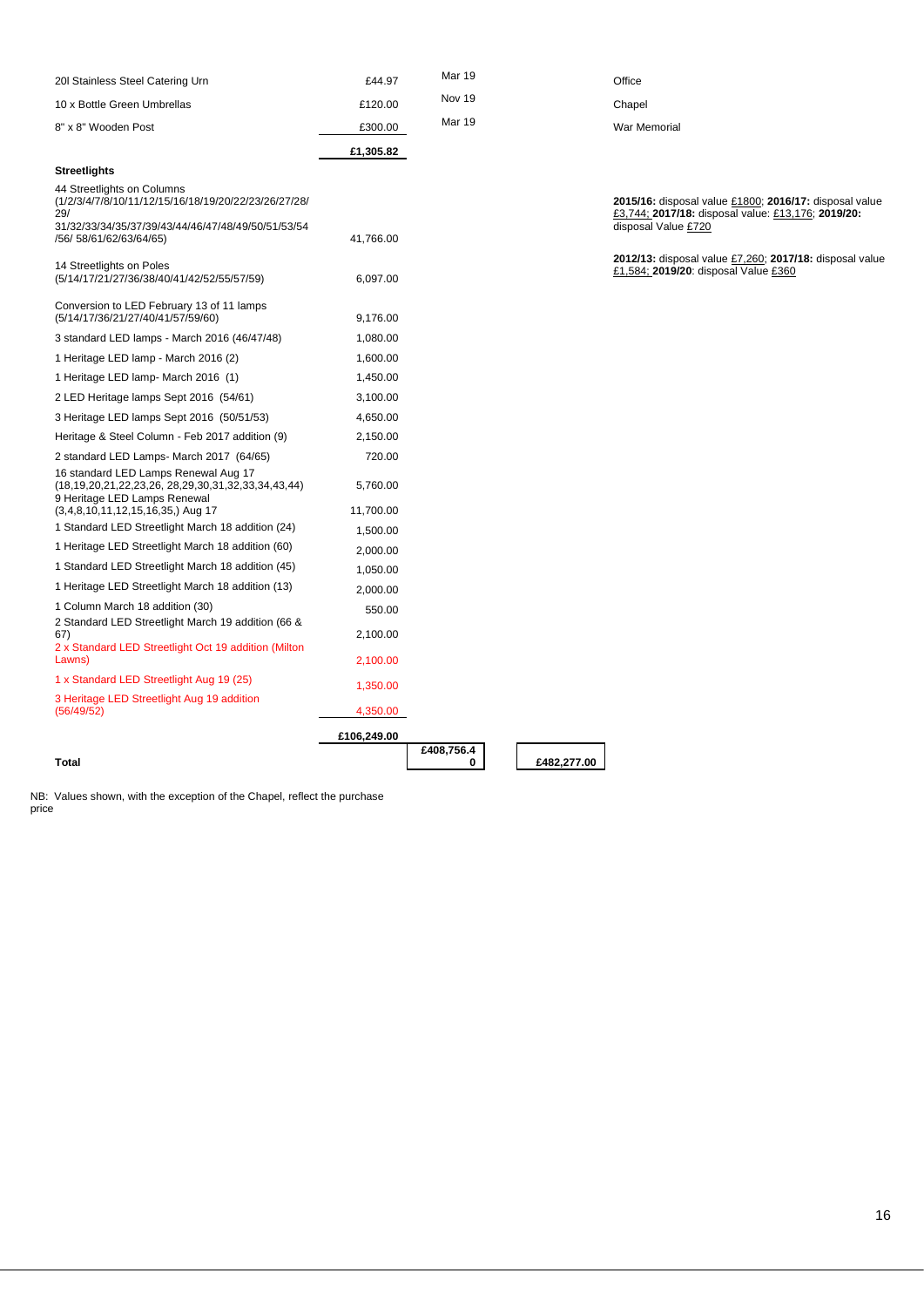| 20 Stainless Steel Catering Urn                                                                                                                                                  | £44.97                | Mar 19          |             | Office                                                                                                                              |
|----------------------------------------------------------------------------------------------------------------------------------------------------------------------------------|-----------------------|-----------------|-------------|-------------------------------------------------------------------------------------------------------------------------------------|
| 10 x Bottle Green Umbrellas                                                                                                                                                      | £120.00               | Nov 19          |             | Chapel                                                                                                                              |
| 8" x 8" Wooden Post                                                                                                                                                              | £300.00               | Mar 19          |             | War Memorial                                                                                                                        |
|                                                                                                                                                                                  | £1,305.82             |                 |             |                                                                                                                                     |
| <b>Streetlights</b>                                                                                                                                                              |                       |                 |             |                                                                                                                                     |
| 44 Streetlights on Columns<br>(1/2/3/4/7/8/10/11/12/15/16/18/19/20/22/23/26/27/28/<br>29/<br>31/32/33/34/35/37/39/43/44/46/47/48/49/50/51/53/54<br>/56/ 58/61/62/63/64/65)       | 41,766.00             |                 |             | 2015/16: disposal value £1800; 2016/17: disposal value<br>£3,744; 2017/18: disposal value: £13,176; 2019/20:<br>disposal Value £720 |
| 14 Streetlights on Poles<br>(5/14/17/21/27/36/38/40/41/42/52/55/57/59)                                                                                                           | 6,097.00              |                 |             | 2012/13: disposal value £7,260; 2017/18: disposal value<br>£1,584; 2019/20: disposal Value £360                                     |
| Conversion to LED February 13 of 11 lamps<br>(5/14/17/36/21/27/40/41/57/59/60)                                                                                                   | 9,176.00              |                 |             |                                                                                                                                     |
| 3 standard LED lamps - March 2016 (46/47/48)                                                                                                                                     | 1,080.00              |                 |             |                                                                                                                                     |
| 1 Heritage LED lamp - March 2016 (2)                                                                                                                                             | 1,600.00              |                 |             |                                                                                                                                     |
| 1 Heritage LED lamp- March 2016 (1)                                                                                                                                              | 1,450.00              |                 |             |                                                                                                                                     |
| 2 LED Heritage lamps Sept 2016 (54/61)                                                                                                                                           | 3,100.00              |                 |             |                                                                                                                                     |
| 3 Heritage LED lamps Sept 2016 (50/51/53)                                                                                                                                        | 4,650.00              |                 |             |                                                                                                                                     |
| Heritage & Steel Column - Feb 2017 addition (9)                                                                                                                                  | 2,150.00              |                 |             |                                                                                                                                     |
| 2 standard LED Lamps- March 2017 (64/65)                                                                                                                                         | 720.00                |                 |             |                                                                                                                                     |
| 16 standard LED Lamps Renewal Aug 17<br>$(18, 19, 20, 21, 22, 23, 26, 28, 29, 30, 31, 32, 33, 34, 43, 44)$<br>9 Heritage LED Lamps Renewal<br>$(3,4,8,10,11,12,15,16,35)$ Aug 17 | 5,760.00<br>11,700.00 |                 |             |                                                                                                                                     |
| 1 Standard LED Streetlight March 18 addition (24)                                                                                                                                | 1,500.00              |                 |             |                                                                                                                                     |
| 1 Heritage LED Streetlight March 18 addition (60)                                                                                                                                | 2,000.00              |                 |             |                                                                                                                                     |
| 1 Standard LED Streetlight March 18 addition (45)                                                                                                                                | 1,050.00              |                 |             |                                                                                                                                     |
| 1 Heritage LED Streetlight March 18 addition (13)                                                                                                                                | 2,000.00              |                 |             |                                                                                                                                     |
| 1 Column March 18 addition (30)                                                                                                                                                  | 550.00                |                 |             |                                                                                                                                     |
| 2 Standard LED Streetlight March 19 addition (66 &<br>67)<br>2 x Standard LED Streetlight Oct 19 addition (Milton)                                                               | 2,100.00              |                 |             |                                                                                                                                     |
| Lawns)                                                                                                                                                                           | 2,100.00              |                 |             |                                                                                                                                     |
| 1 x Standard LED Streetlight Aug 19 (25)                                                                                                                                         | 1,350.00              |                 |             |                                                                                                                                     |
| 3 Heritage LED Streetlight Aug 19 addition<br>(56/49/52)                                                                                                                         | 4,350.00              |                 |             |                                                                                                                                     |
|                                                                                                                                                                                  | £106,249.00           |                 |             |                                                                                                                                     |
| Total                                                                                                                                                                            |                       | £408,756.4<br>0 | £482,277.00 |                                                                                                                                     |

#### **Total**

NB: Values shown, with the exception of the Chapel, reflect the purchase price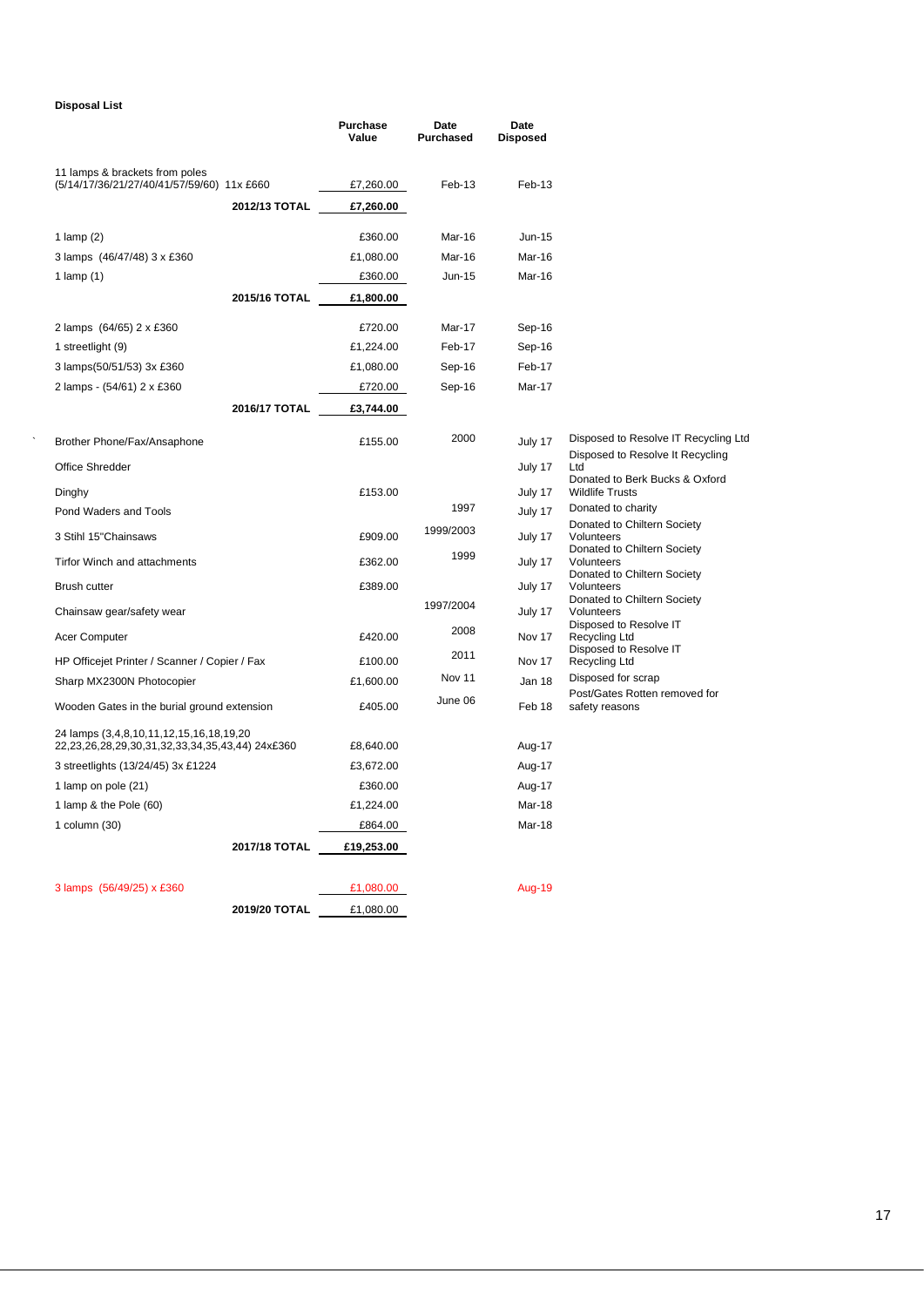#### **Disposal List**

|                                                                                            | Purchase<br>Value | Date<br>Purchased | Date<br><b>Disposed</b> |                                                          |
|--------------------------------------------------------------------------------------------|-------------------|-------------------|-------------------------|----------------------------------------------------------|
| 11 lamps & brackets from poles<br>(5/14/17/36/21/27/40/41/57/59/60) 11x £660               | £7,260.00         | Feb-13            | Feb-13                  |                                                          |
| 2012/13 TOTAL                                                                              | £7,260.00         |                   |                         |                                                          |
| 1 $lamp(2)$                                                                                | £360.00           | Mar-16            | <b>Jun-15</b>           |                                                          |
| 3 lamps (46/47/48) 3 x £360                                                                | £1,080.00         | Mar-16            | Mar-16                  |                                                          |
| 1 lamp $(1)$                                                                               | £360.00           | $Jun-15$          | Mar-16                  |                                                          |
| 2015/16 TOTAL                                                                              | £1,800.00         |                   |                         |                                                          |
| 2 lamps (64/65) 2 x £360                                                                   | £720.00           | Mar-17            | Sep-16                  |                                                          |
| 1 streetlight (9)                                                                          | £1,224.00         | Feb-17            | Sep-16                  |                                                          |
| 3 lamps(50/51/53) 3x £360                                                                  | £1,080.00         | Sep-16            | Feb-17                  |                                                          |
| 2 lamps - (54/61) 2 x £360                                                                 | £720.00           | Sep-16            | Mar-17                  |                                                          |
| 2016/17 TOTAL                                                                              | £3,744.00         |                   |                         |                                                          |
| Brother Phone/Fax/Ansaphone                                                                | £155.00           | 2000              | July 17                 | Disposed to Resolve IT Recycling Ltd                     |
| Office Shredder                                                                            |                   |                   | July 17                 | Disposed to Resolve It Recycling<br>Ltd                  |
| Dinghy                                                                                     | £153.00           |                   | July 17                 | Donated to Berk Bucks & Oxford<br><b>Wildlife Trusts</b> |
| Pond Waders and Tools                                                                      |                   | 1997              | July 17                 | Donated to charity                                       |
| 3 Stihl 15"Chainsaws                                                                       | £909.00           | 1999/2003         | July 17                 | Donated to Chiltern Society<br>Volunteers                |
| <b>Tirfor Winch and attachments</b>                                                        | £362.00           | 1999              | July 17                 | Donated to Chiltern Society<br>Volunteers                |
| <b>Brush cutter</b>                                                                        | £389.00           |                   | July 17                 | Donated to Chiltern Society<br>Volunteers                |
| Chainsaw gear/safety wear                                                                  |                   | 1997/2004         | July 17                 | Donated to Chiltern Society<br>Volunteers                |
| Acer Computer                                                                              | £420.00           | 2008              | Nov 17                  | Disposed to Resolve IT<br>Recycling Ltd                  |
| HP Officejet Printer / Scanner / Copier / Fax                                              | £100.00           | 2011              | Nov 17                  | Disposed to Resolve IT<br>Recycling Ltd                  |
| Sharp MX2300N Photocopier                                                                  | £1,600.00         | Nov 11            | Jan 18                  | Disposed for scrap                                       |
| Wooden Gates in the burial ground extension                                                | £405.00           | June 06           | Feb 18                  | Post/Gates Rotten removed for<br>safety reasons          |
| 24 lamps (3,4,8,10,11,12,15,16,18,19,20<br>22,23,26,28,29,30,31,32,33,34,35,43,44) 24x£360 | £8,640.00         |                   | Aug-17                  |                                                          |
| 3 streetlights (13/24/45) 3x £1224                                                         | £3,672.00         |                   | Aug-17                  |                                                          |
| 1 lamp on pole (21)                                                                        | £360.00           |                   | Aug-17                  |                                                          |
| 1 lamp & the Pole (60)                                                                     | £1,224.00         |                   | Mar-18                  |                                                          |
| 1 column $(30)$                                                                            | £864.00           |                   | Mar-18                  |                                                          |
| 2017/18 TOTAL                                                                              | £19,253.00        |                   |                         |                                                          |
| 3 lamps (56/49/25) x £360                                                                  | £1,080.00         |                   | <b>Aug-19</b>           |                                                          |
| 2019/20 TOTAL                                                                              | £1,080.00         |                   |                         |                                                          |
|                                                                                            |                   |                   |                         |                                                          |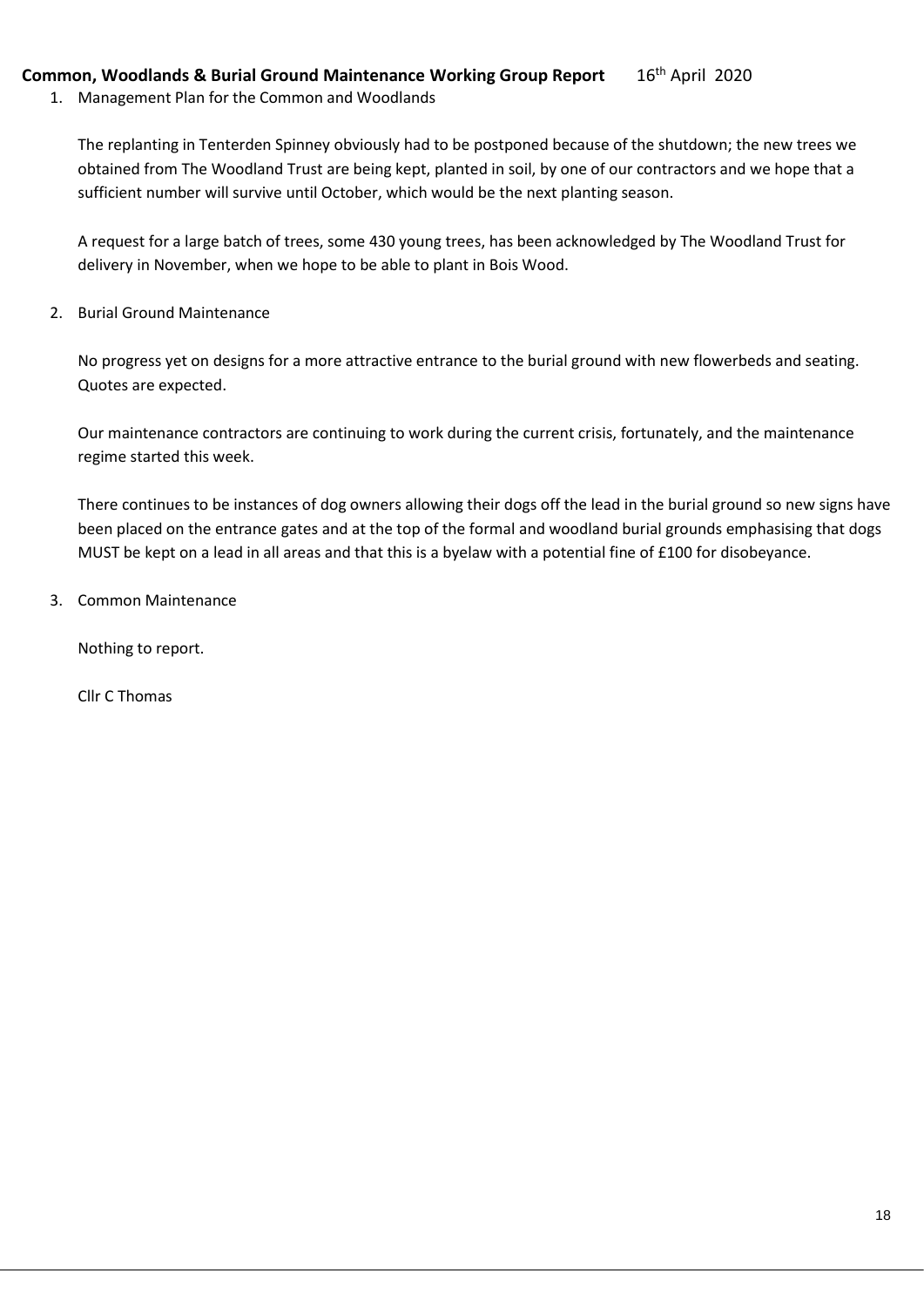## **Common, Woodlands & Burial Ground Maintenance Working Group Report** 16th April 2020

1. Management Plan for the Common and Woodlands

The replanting in Tenterden Spinney obviously had to be postponed because of the shutdown; the new trees we obtained from The Woodland Trust are being kept, planted in soil, by one of our contractors and we hope that a sufficient number will survive until October, which would be the next planting season.

A request for a large batch of trees, some 430 young trees, has been acknowledged by The Woodland Trust for delivery in November, when we hope to be able to plant in Bois Wood.

2. Burial Ground Maintenance

No progress yet on designs for a more attractive entrance to the burial ground with new flowerbeds and seating. Quotes are expected.

Our maintenance contractors are continuing to work during the current crisis, fortunately, and the maintenance regime started this week.

There continues to be instances of dog owners allowing their dogs off the lead in the burial ground so new signs have been placed on the entrance gates and at the top of the formal and woodland burial grounds emphasising that dogs MUST be kept on a lead in all areas and that this is a byelaw with a potential fine of £100 for disobeyance.

3. Common Maintenance

Nothing to report.

Cllr C Thomas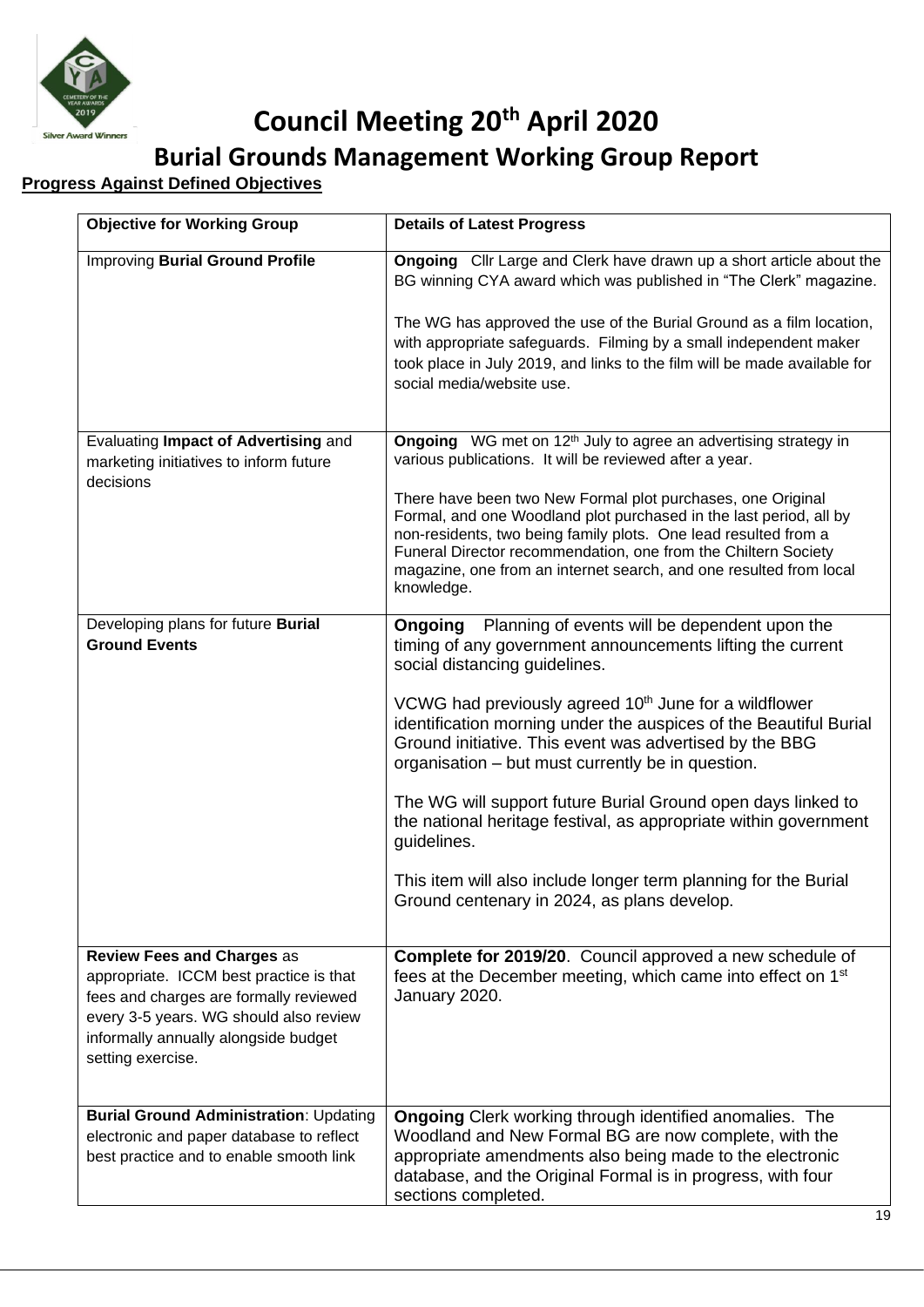

# **Council Meeting 20th April 2020**

**Burial Grounds Management Working Group Report**

## **Progress Against Defined Objectives**

| <b>Objective for Working Group</b>                                                                                                                                                                                            | <b>Details of Latest Progress</b>                                                                                                                                                                                                                                                                                                                          |
|-------------------------------------------------------------------------------------------------------------------------------------------------------------------------------------------------------------------------------|------------------------------------------------------------------------------------------------------------------------------------------------------------------------------------------------------------------------------------------------------------------------------------------------------------------------------------------------------------|
| <b>Improving Burial Ground Profile</b>                                                                                                                                                                                        | <b>Ongoing</b> Cllr Large and Clerk have drawn up a short article about the<br>BG winning CYA award which was published in "The Clerk" magazine.                                                                                                                                                                                                           |
|                                                                                                                                                                                                                               | The WG has approved the use of the Burial Ground as a film location,<br>with appropriate safeguards. Filming by a small independent maker<br>took place in July 2019, and links to the film will be made available for<br>social media/website use.                                                                                                        |
| Evaluating Impact of Advertising and<br>marketing initiatives to inform future<br>decisions                                                                                                                                   | Ongoing WG met on 12 <sup>th</sup> July to agree an advertising strategy in<br>various publications. It will be reviewed after a year.                                                                                                                                                                                                                     |
|                                                                                                                                                                                                                               | There have been two New Formal plot purchases, one Original<br>Formal, and one Woodland plot purchased in the last period, all by<br>non-residents, two being family plots. One lead resulted from a<br>Funeral Director recommendation, one from the Chiltern Society<br>magazine, one from an internet search, and one resulted from local<br>knowledge. |
| Developing plans for future Burial<br><b>Ground Events</b>                                                                                                                                                                    | <b>Ongoing</b> Planning of events will be dependent upon the<br>timing of any government announcements lifting the current<br>social distancing guidelines.                                                                                                                                                                                                |
|                                                                                                                                                                                                                               | VCWG had previously agreed 10 <sup>th</sup> June for a wildflower<br>identification morning under the auspices of the Beautiful Burial<br>Ground initiative. This event was advertised by the BBG<br>organisation – but must currently be in question.                                                                                                     |
|                                                                                                                                                                                                                               | The WG will support future Burial Ground open days linked to<br>the national heritage festival, as appropriate within government<br>guidelines.                                                                                                                                                                                                            |
|                                                                                                                                                                                                                               | This item will also include longer term planning for the Burial<br>Ground centenary in 2024, as plans develop.                                                                                                                                                                                                                                             |
| <b>Review Fees and Charges as</b><br>appropriate. ICCM best practice is that<br>fees and charges are formally reviewed<br>every 3-5 years. WG should also review<br>informally annually alongside budget<br>setting exercise. | Complete for 2019/20. Council approved a new schedule of<br>fees at the December meeting, which came into effect on 1 <sup>st</sup><br>January 2020.                                                                                                                                                                                                       |
| <b>Burial Ground Administration: Updating</b><br>electronic and paper database to reflect<br>best practice and to enable smooth link                                                                                          | <b>Ongoing</b> Clerk working through identified anomalies. The<br>Woodland and New Formal BG are now complete, with the<br>appropriate amendments also being made to the electronic<br>database, and the Original Formal is in progress, with four<br>sections completed.                                                                                  |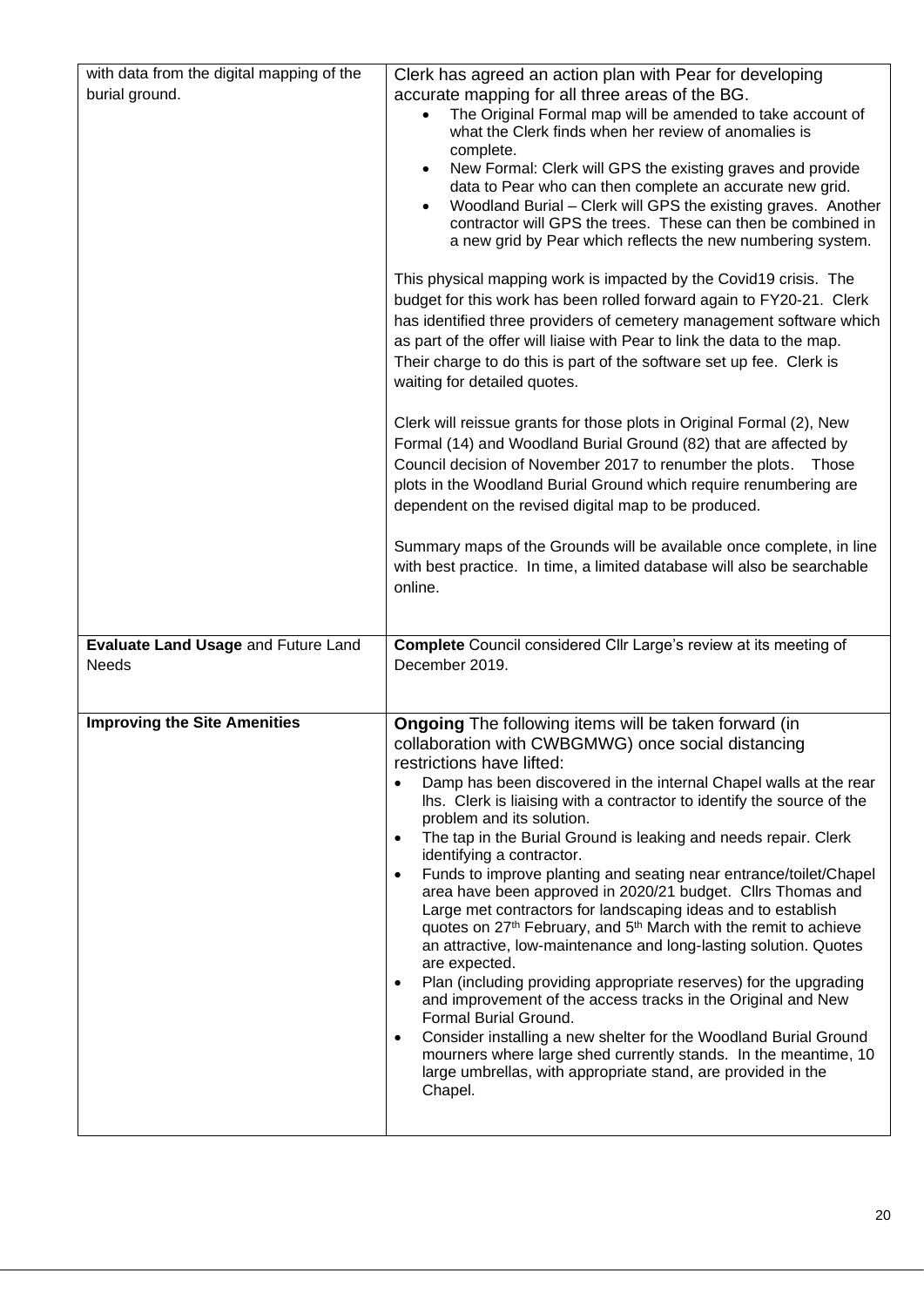| with data from the digital mapping of the<br>burial ground. | Clerk has agreed an action plan with Pear for developing<br>accurate mapping for all three areas of the BG.<br>The Original Formal map will be amended to take account of<br>what the Clerk finds when her review of anomalies is<br>complete.<br>New Formal: Clerk will GPS the existing graves and provide<br>data to Pear who can then complete an accurate new grid.<br>Woodland Burial - Clerk will GPS the existing graves. Another<br>contractor will GPS the trees. These can then be combined in<br>a new grid by Pear which reflects the new numbering system.                                                                                                                                                                                                                                                                                                                                                                                                                                                                                                                                                                                                                                                                             |
|-------------------------------------------------------------|------------------------------------------------------------------------------------------------------------------------------------------------------------------------------------------------------------------------------------------------------------------------------------------------------------------------------------------------------------------------------------------------------------------------------------------------------------------------------------------------------------------------------------------------------------------------------------------------------------------------------------------------------------------------------------------------------------------------------------------------------------------------------------------------------------------------------------------------------------------------------------------------------------------------------------------------------------------------------------------------------------------------------------------------------------------------------------------------------------------------------------------------------------------------------------------------------------------------------------------------------|
|                                                             | This physical mapping work is impacted by the Covid19 crisis. The<br>budget for this work has been rolled forward again to FY20-21. Clerk<br>has identified three providers of cemetery management software which<br>as part of the offer will liaise with Pear to link the data to the map.<br>Their charge to do this is part of the software set up fee. Clerk is<br>waiting for detailed quotes.                                                                                                                                                                                                                                                                                                                                                                                                                                                                                                                                                                                                                                                                                                                                                                                                                                                 |
|                                                             | Clerk will reissue grants for those plots in Original Formal (2), New<br>Formal (14) and Woodland Burial Ground (82) that are affected by<br>Council decision of November 2017 to renumber the plots. Those<br>plots in the Woodland Burial Ground which require renumbering are<br>dependent on the revised digital map to be produced.                                                                                                                                                                                                                                                                                                                                                                                                                                                                                                                                                                                                                                                                                                                                                                                                                                                                                                             |
|                                                             | Summary maps of the Grounds will be available once complete, in line<br>with best practice. In time, a limited database will also be searchable<br>online.                                                                                                                                                                                                                                                                                                                                                                                                                                                                                                                                                                                                                                                                                                                                                                                                                                                                                                                                                                                                                                                                                           |
| Evaluate Land Usage and Future Land<br><b>Needs</b>         | <b>Complete</b> Council considered Cllr Large's review at its meeting of<br>December 2019.                                                                                                                                                                                                                                                                                                                                                                                                                                                                                                                                                                                                                                                                                                                                                                                                                                                                                                                                                                                                                                                                                                                                                           |
| <b>Improving the Site Amenities</b>                         | <b>Ongoing</b> The following items will be taken forward (in<br>collaboration with CWBGMWG) once social distancing<br>restrictions have lifted:<br>Damp has been discovered in the internal Chapel walls at the rear<br>Ihs. Clerk is liaising with a contractor to identify the source of the<br>problem and its solution.<br>The tap in the Burial Ground is leaking and needs repair. Clerk<br>$\bullet$<br>identifying a contractor.<br>Funds to improve planting and seating near entrance/toilet/Chapel<br>$\bullet$<br>area have been approved in 2020/21 budget. Cllrs Thomas and<br>Large met contractors for landscaping ideas and to establish<br>quotes on 27 <sup>th</sup> February, and 5 <sup>th</sup> March with the remit to achieve<br>an attractive, low-maintenance and long-lasting solution. Quotes<br>are expected.<br>Plan (including providing appropriate reserves) for the upgrading<br>$\bullet$<br>and improvement of the access tracks in the Original and New<br>Formal Burial Ground.<br>Consider installing a new shelter for the Woodland Burial Ground<br>$\bullet$<br>mourners where large shed currently stands. In the meantime, 10<br>large umbrellas, with appropriate stand, are provided in the<br>Chapel. |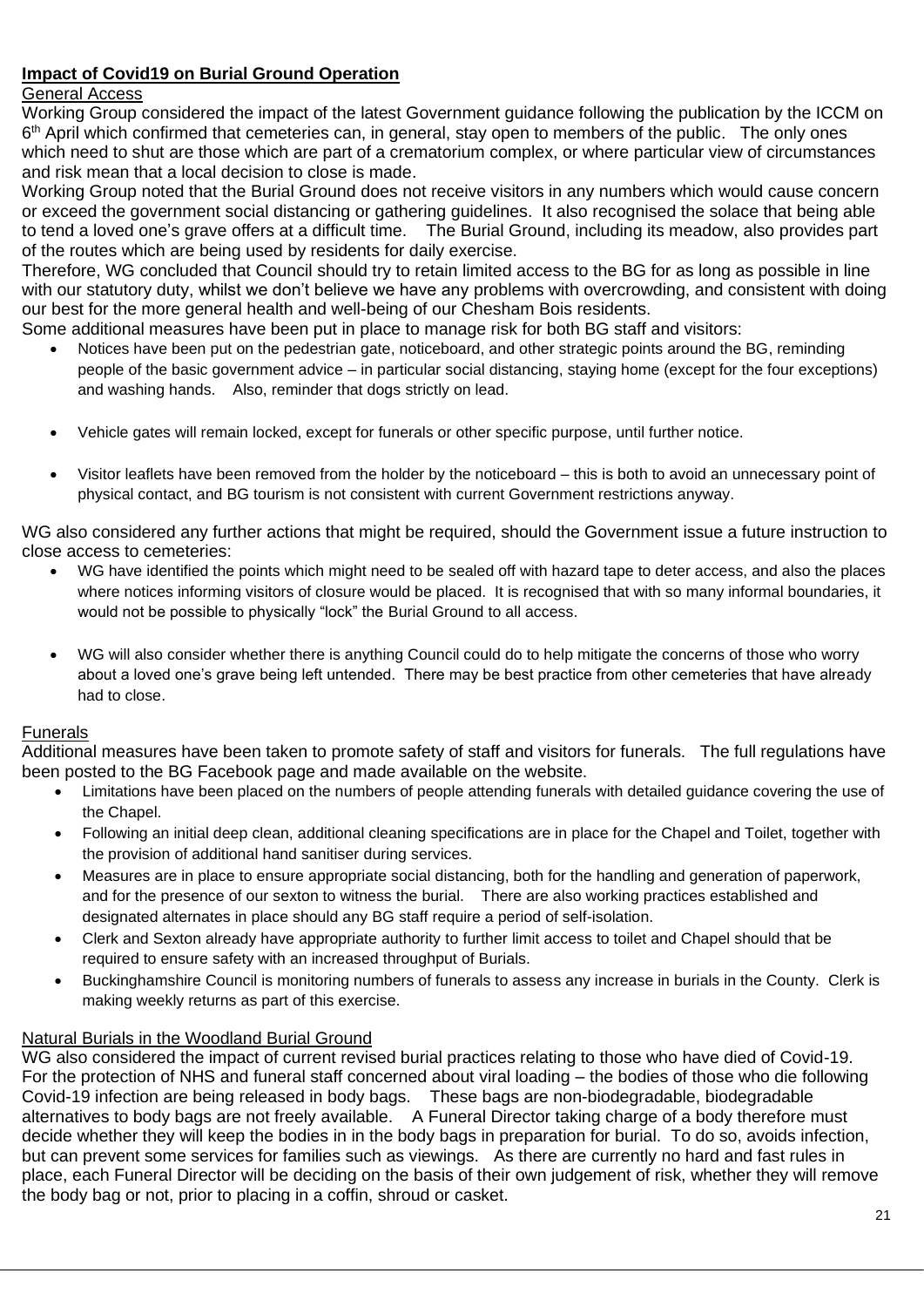## **Impact of Covid19 on Burial Ground Operation**

## General Access

Working Group considered the impact of the latest Government guidance following the publication by the ICCM on 6<sup>th</sup> April which confirmed that cemeteries can, in general, stay open to members of the public. The only ones which need to shut are those which are part of a crematorium complex, or where particular view of circumstances and risk mean that a local decision to close is made.

Working Group noted that the Burial Ground does not receive visitors in any numbers which would cause concern or exceed the government social distancing or gathering guidelines. It also recognised the solace that being able to tend a loved one's grave offers at a difficult time. The Burial Ground, including its meadow, also provides part of the routes which are being used by residents for daily exercise.

Therefore, WG concluded that Council should try to retain limited access to the BG for as long as possible in line with our statutory duty, whilst we don't believe we have any problems with overcrowding, and consistent with doing our best for the more general health and well-being of our Chesham Bois residents.

Some additional measures have been put in place to manage risk for both BG staff and visitors:

- Notices have been put on the pedestrian gate, noticeboard, and other strategic points around the BG, reminding people of the basic government advice – in particular social distancing, staying home (except for the four exceptions) and washing hands. Also, reminder that dogs strictly on lead.
- Vehicle gates will remain locked, except for funerals or other specific purpose, until further notice.
- Visitor leaflets have been removed from the holder by the noticeboard this is both to avoid an unnecessary point of physical contact, and BG tourism is not consistent with current Government restrictions anyway.

WG also considered any further actions that might be required, should the Government issue a future instruction to close access to cemeteries:

- WG have identified the points which might need to be sealed off with hazard tape to deter access, and also the places where notices informing visitors of closure would be placed. It is recognised that with so many informal boundaries, it would not be possible to physically "lock" the Burial Ground to all access.
- WG will also consider whether there is anything Council could do to help mitigate the concerns of those who worry about a loved one's grave being left untended. There may be best practice from other cemeteries that have already had to close.

### Funerals

Additional measures have been taken to promote safety of staff and visitors for funerals. The full regulations have been posted to the BG Facebook page and made available on the website.

- Limitations have been placed on the numbers of people attending funerals with detailed guidance covering the use of the Chapel.
- Following an initial deep clean, additional cleaning specifications are in place for the Chapel and Toilet, together with the provision of additional hand sanitiser during services.
- Measures are in place to ensure appropriate social distancing, both for the handling and generation of paperwork, and for the presence of our sexton to witness the burial. There are also working practices established and designated alternates in place should any BG staff require a period of self-isolation.
- Clerk and Sexton already have appropriate authority to further limit access to toilet and Chapel should that be required to ensure safety with an increased throughput of Burials.
- Buckinghamshire Council is monitoring numbers of funerals to assess any increase in burials in the County. Clerk is making weekly returns as part of this exercise.

### Natural Burials in the Woodland Burial Ground

WG also considered the impact of current revised burial practices relating to those who have died of Covid-19. For the protection of NHS and funeral staff concerned about viral loading – the bodies of those who die following Covid-19 infection are being released in body bags. These bags are non-biodegradable, biodegradable alternatives to body bags are not freely available. A Funeral Director taking charge of a body therefore must decide whether they will keep the bodies in in the body bags in preparation for burial. To do so, avoids infection, but can prevent some services for families such as viewings. As there are currently no hard and fast rules in place, each Funeral Director will be deciding on the basis of their own judgement of risk, whether they will remove the body bag or not, prior to placing in a coffin, shroud or casket.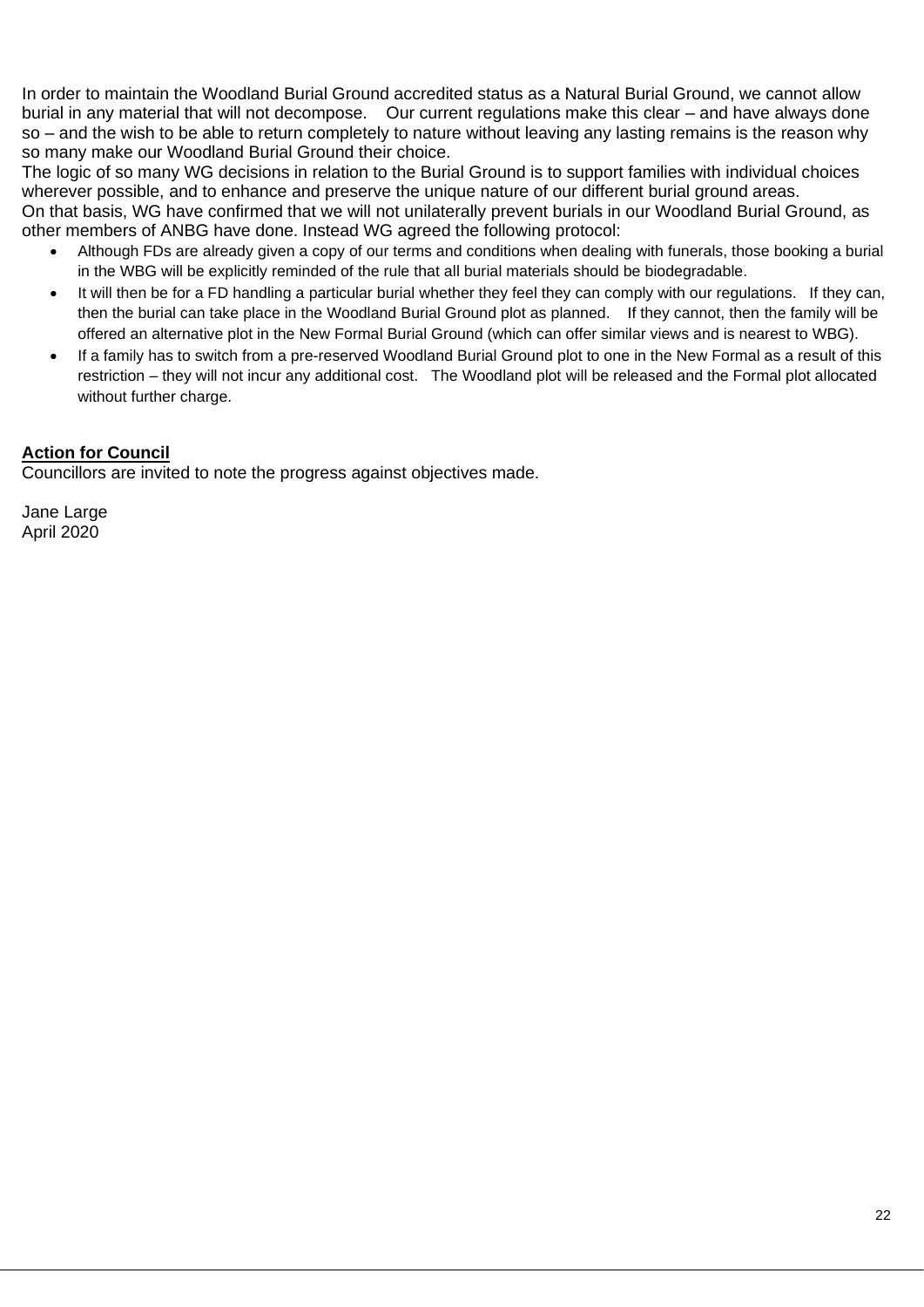In order to maintain the Woodland Burial Ground accredited status as a Natural Burial Ground, we cannot allow burial in any material that will not decompose. Our current regulations make this clear – and have always done so – and the wish to be able to return completely to nature without leaving any lasting remains is the reason why so many make our Woodland Burial Ground their choice.

The logic of so many WG decisions in relation to the Burial Ground is to support families with individual choices wherever possible, and to enhance and preserve the unique nature of our different burial ground areas.

On that basis, WG have confirmed that we will not unilaterally prevent burials in our Woodland Burial Ground, as other members of ANBG have done. Instead WG agreed the following protocol:

- Although FDs are already given a copy of our terms and conditions when dealing with funerals, those booking a burial in the WBG will be explicitly reminded of the rule that all burial materials should be biodegradable.
- It will then be for a FD handling a particular burial whether they feel they can comply with our regulations. If they can, then the burial can take place in the Woodland Burial Ground plot as planned. If they cannot, then the family will be offered an alternative plot in the New Formal Burial Ground (which can offer similar views and is nearest to WBG).
- If a family has to switch from a pre-reserved Woodland Burial Ground plot to one in the New Formal as a result of this restriction – they will not incur any additional cost. The Woodland plot will be released and the Formal plot allocated without further charge.

## **Action for Council**

Councillors are invited to note the progress against objectives made.

Jane Large April 2020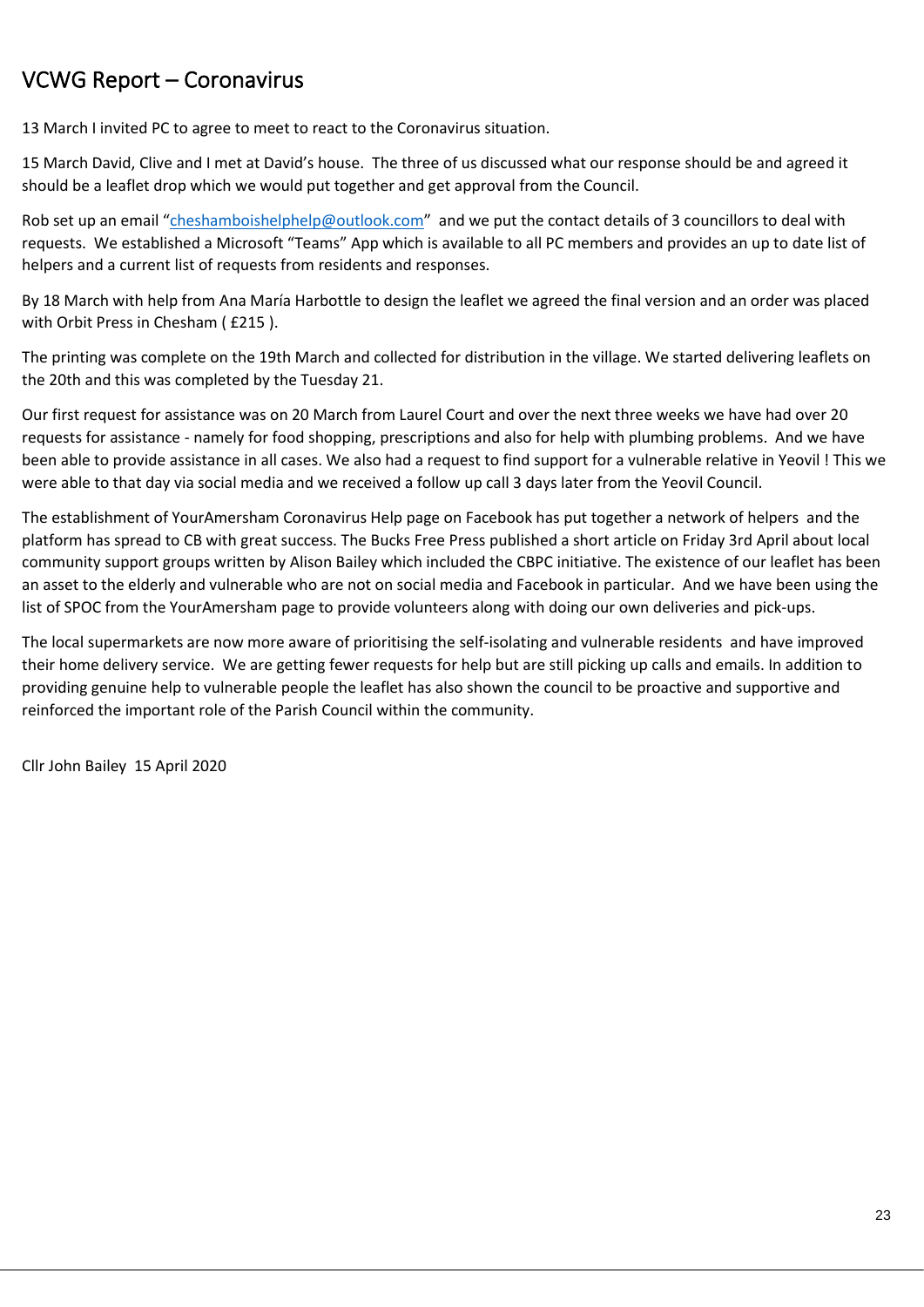## VCWG Report – Coronavirus

13 March I invited PC to agree to meet to react to the Coronavirus situation.

15 March David, Clive and I met at David's house. The three of us discussed what our response should be and agreed it should be a leaflet drop which we would put together and get approval from the Council.

Rob set up an email "[cheshamboishelphelp@outlook.com](mailto:cheshamboishelphelp@outlook.com)" and we put the contact details of 3 councillors to deal with requests. We established a Microsoft "Teams" App which is available to all PC members and provides an up to date list of helpers and a current list of requests from residents and responses.

By 18 March with help from Ana María Harbottle to design the leaflet we agreed the final version and an order was placed with Orbit Press in Chesham ( £215 ).

The printing was complete on the 19th March and collected for distribution in the village. We started delivering leaflets on the 20th and this was completed by the Tuesday 21.

Our first request for assistance was on 20 March from Laurel Court and over the next three weeks we have had over 20 requests for assistance - namely for food shopping, prescriptions and also for help with plumbing problems. And we have been able to provide assistance in all cases. We also had a request to find support for a vulnerable relative in Yeovil ! This we were able to that day via social media and we received a follow up call 3 days later from the Yeovil Council.

The establishment of YourAmersham Coronavirus Help page on Facebook has put together a network of helpers and the platform has spread to CB with great success. The Bucks Free Press published a short article on Friday 3rd April about local community support groups written by Alison Bailey which included the CBPC initiative. The existence of our leaflet has been an asset to the elderly and vulnerable who are not on social media and Facebook in particular. And we have been using the list of SPOC from the YourAmersham page to provide volunteers along with doing our own deliveries and pick-ups.

The local supermarkets are now more aware of prioritising the self-isolating and vulnerable residents and have improved their home delivery service. We are getting fewer requests for help but are still picking up calls and emails. In addition to providing genuine help to vulnerable people the leaflet has also shown the council to be proactive and supportive and reinforced the important role of the Parish Council within the community.

Cllr John Bailey 15 April 2020